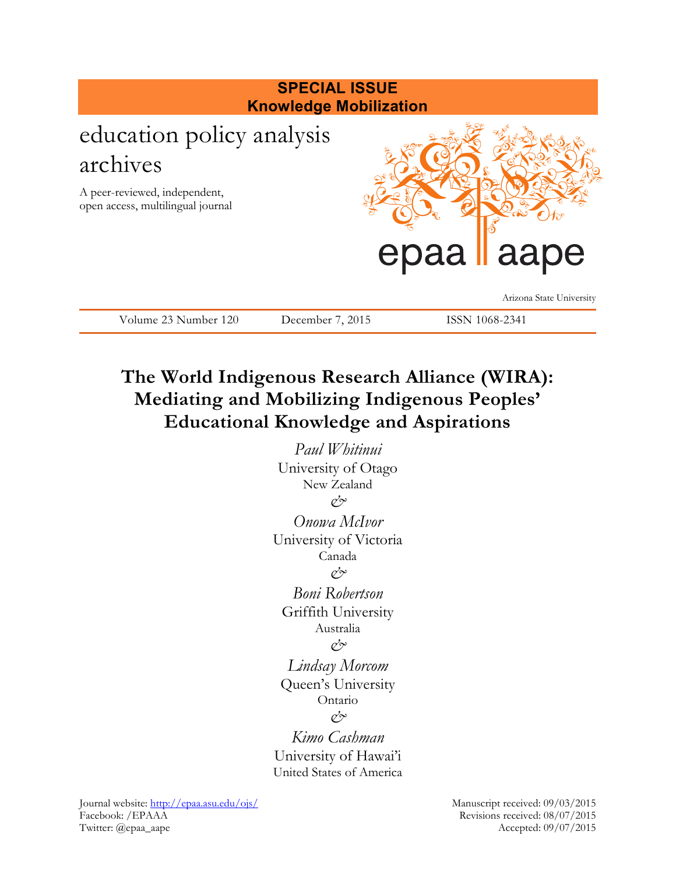

*Paul Whitinui*  University of Otago New Zealand *& Onowa McIvor*

University of Victoria Canada

*&*

*Boni Robertson*

Griffith University

Australia

*&*

*Lindsay Morcom* Queen's University Ontario

*&*

*Kimo Cashman* University of Hawai'i United States of America

Journal website:<http://epaa.asu.edu/ojs/> Manuscript received: 09/03/2015 Facebook: /EPAAA Revisions received: 08/07/2015 Twitter: @epaa\_aape Accepted: 09/07/2015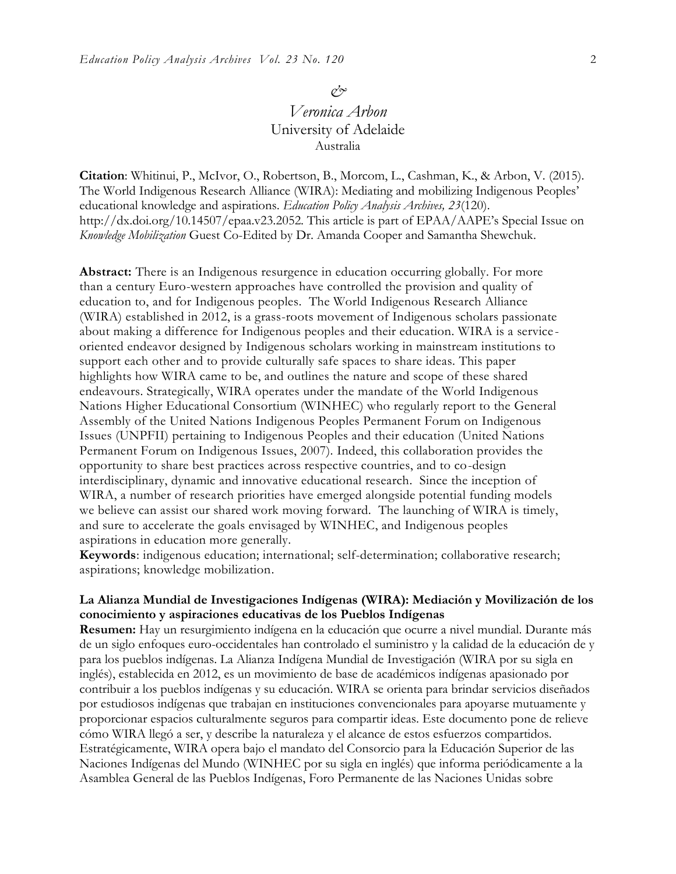#### *&*

# *Veronica Arbon* University of Adelaide Australia

**Citation**: Whitinui, P., McIvor, O., Robertson, B., Morcom, L., Cashman, K., & Arbon, V. (2015). The World Indigenous Research Alliance (WIRA): Mediating and mobilizing Indigenous Peoples' educational knowledge and aspirations. *Education Policy Analysis Archives, 23*(120). http://dx.doi.org/10.14507/epaa.v23.2052. This article is part of EPAA/AAPE's Special Issue on *Knowledge Mobilization* Guest Co-Edited by Dr. Amanda Cooper and Samantha Shewchuk.

**Abstract:** There is an Indigenous resurgence in education occurring globally. For more than a century Euro-western approaches have controlled the provision and quality of education to, and for Indigenous peoples. The World Indigenous Research Alliance (WIRA) established in 2012, is a grass-roots movement of Indigenous scholars passionate about making a difference for Indigenous peoples and their education. WIRA is a service oriented endeavor designed by Indigenous scholars working in mainstream institutions to support each other and to provide culturally safe spaces to share ideas. This paper highlights how WIRA came to be, and outlines the nature and scope of these shared endeavours. Strategically, WIRA operates under the mandate of the World Indigenous Nations Higher Educational Consortium (WINHEC) who regularly report to the General Assembly of the United Nations Indigenous Peoples Permanent Forum on Indigenous Issues (UNPFII) pertaining to Indigenous Peoples and their education (United Nations Permanent Forum on Indigenous Issues, 2007). Indeed, this collaboration provides the opportunity to share best practices across respective countries, and to co-design interdisciplinary, dynamic and innovative educational research. Since the inception of WIRA, a number of research priorities have emerged alongside potential funding models we believe can assist our shared work moving forward. The launching of WIRA is timely, and sure to accelerate the goals envisaged by WINHEC, and Indigenous peoples aspirations in education more generally.

**Keywords**: indigenous education; international; self-determination; collaborative research; aspirations; knowledge mobilization.

#### **La Alianza Mundial de Investigaciones Indígenas (WIRA): Mediación y Movilización de los conocimiento y aspiraciones educativas de los Pueblos Indígenas**

**Resumen:** Hay un resurgimiento indígena en la educación que ocurre a nivel mundial. Durante más de un siglo enfoques euro-occidentales han controlado el suministro y la calidad de la educación de y para los pueblos indígenas. La Alianza Indígena Mundial de Investigación (WIRA por su sigla en inglés), establecida en 2012, es un movimiento de base de académicos indígenas apasionado por contribuir a los pueblos indígenas y su educación. WIRA se orienta para brindar servicios diseñados por estudiosos indígenas que trabajan en instituciones convencionales para apoyarse mutuamente y proporcionar espacios culturalmente seguros para compartir ideas. Este documento pone de relieve cómo WIRA llegó a ser, y describe la naturaleza y el alcance de estos esfuerzos compartidos. Estratégicamente, WIRA opera bajo el mandato del Consorcio para la Educación Superior de las Naciones Indígenas del Mundo (WINHEC por su sigla en inglés) que informa periódicamente a la Asamblea General de las Pueblos Indígenas, Foro Permanente de las Naciones Unidas sobre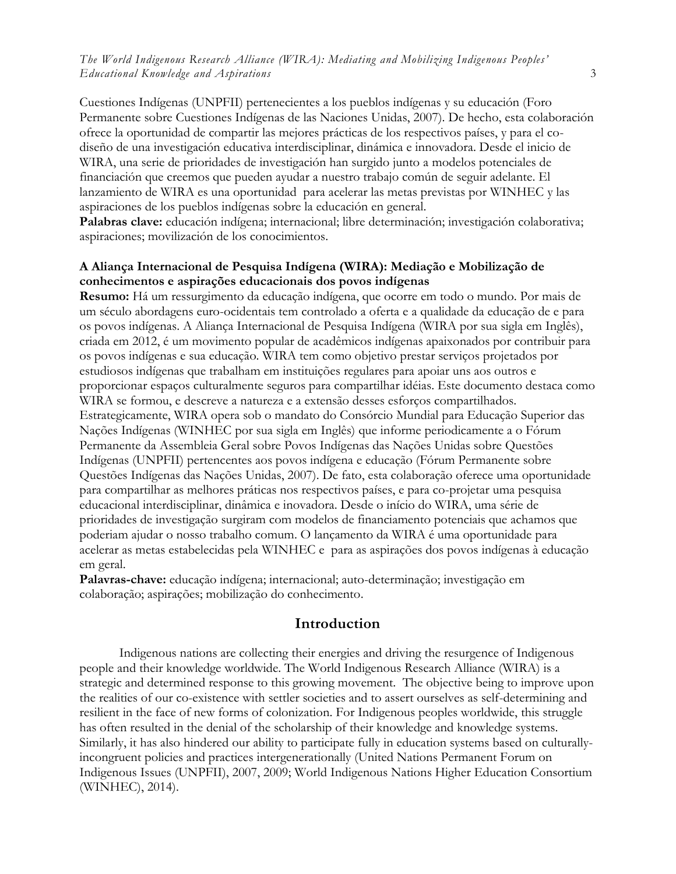Cuestiones Indígenas (UNPFII) pertenecientes a los pueblos indígenas y su educación (Foro Permanente sobre Cuestiones Indígenas de las Naciones Unidas, 2007). De hecho, esta colaboración ofrece la oportunidad de compartir las mejores prácticas de los respectivos países, y para el codiseño de una investigación educativa interdisciplinar, dinámica e innovadora. Desde el inicio de WIRA, una serie de prioridades de investigación han surgido junto a modelos potenciales de financiación que creemos que pueden ayudar a nuestro trabajo común de seguir adelante. El lanzamiento de WIRA es una oportunidad para acelerar las metas previstas por WINHEC y las aspiraciones de los pueblos indígenas sobre la educación en general.

**Palabras clave:** educación indígena; internacional; libre determinación; investigación colaborativa; aspiraciones; movilización de los conocimientos.

#### **A Aliança Internacional de Pesquisa Indígena (WIRA): Mediação e Mobilização de conhecimentos e aspirações educacionais dos povos indígenas**

**Resumo:** Há um ressurgimento da educação indígena, que ocorre em todo o mundo. Por mais de um século abordagens euro-ocidentais tem controlado a oferta e a qualidade da educação de e para os povos indígenas. A Aliança Internacional de Pesquisa Indígena (WIRA por sua sigla em Inglês), criada em 2012, é um movimento popular de acadêmicos indígenas apaixonados por contribuir para os povos indígenas e sua educação. WIRA tem como objetivo prestar serviços projetados por estudiosos indígenas que trabalham em instituições regulares para apoiar uns aos outros e proporcionar espaços culturalmente seguros para compartilhar idéias. Este documento destaca como WIRA se formou, e descreve a natureza e a extensão desses esforços compartilhados. Estrategicamente, WIRA opera sob o mandato do Consórcio Mundial para Educação Superior das Nações Indígenas (WINHEC por sua sigla em Inglês) que informe periodicamente a o Fórum Permanente da Assembleia Geral sobre Povos Indígenas das Nações Unidas sobre Questões Indígenas (UNPFII) pertencentes aos povos indígena e educação (Fórum Permanente sobre Questões Indígenas das Nações Unidas, 2007). De fato, esta colaboração oferece uma oportunidade para compartilhar as melhores práticas nos respectivos países, e para co-projetar uma pesquisa educacional interdisciplinar, dinâmica e inovadora. Desde o início do WIRA, uma série de prioridades de investigação surgiram com modelos de financiamento potenciais que achamos que poderiam ajudar o nosso trabalho comum. O lançamento da WIRA é uma oportunidade para acelerar as metas estabelecidas pela WINHEC e para as aspirações dos povos indígenas à educação em geral.

**Palavras-chave:** educação indígena; internacional; auto-determinação; investigação em colaboração; aspirações; mobilização do conhecimento.

#### **Introduction**

Indigenous nations are collecting their energies and driving the resurgence of Indigenous people and their knowledge worldwide. The World Indigenous Research Alliance (WIRA) is a strategic and determined response to this growing movement. The objective being to improve upon the realities of our co-existence with settler societies and to assert ourselves as self-determining and resilient in the face of new forms of colonization. For Indigenous peoples worldwide, this struggle has often resulted in the denial of the scholarship of their knowledge and knowledge systems. Similarly, it has also hindered our ability to participate fully in education systems based on culturallyincongruent policies and practices intergenerationally (United Nations Permanent Forum on Indigenous Issues (UNPFII), 2007, 2009; World Indigenous Nations Higher Education Consortium (WINHEC), 2014).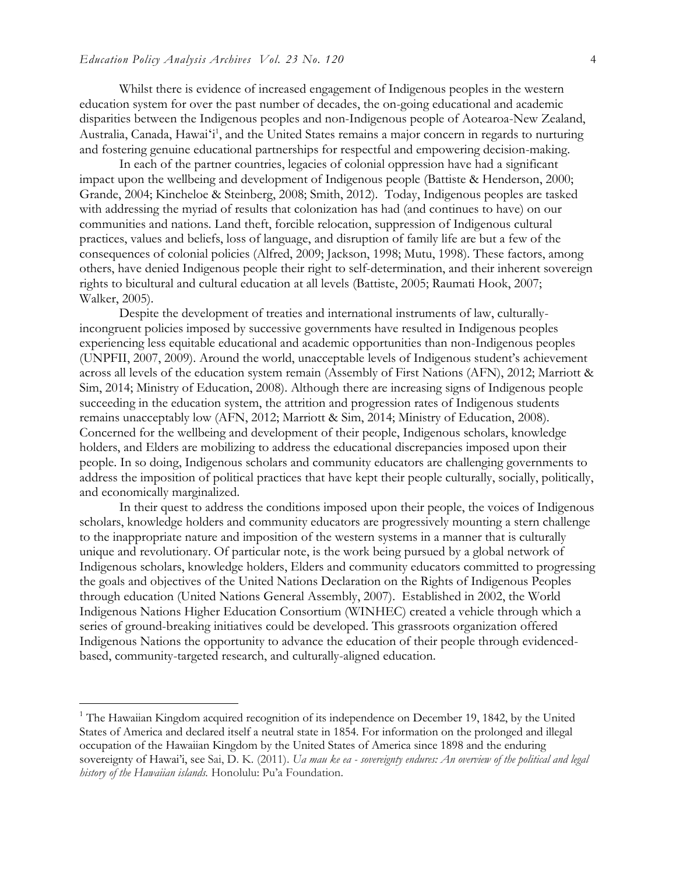$\overline{a}$ 

Whilst there is evidence of increased engagement of Indigenous peoples in the western education system for over the past number of decades, the on-going educational and academic disparities between the Indigenous peoples and non-Indigenous people of Aotearoa-New Zealand, Australia, Canada, Hawai'i<sup>1</sup>, and the United States remains a major concern in regards to nurturing and fostering genuine educational partnerships for respectful and empowering decision-making.

In each of the partner countries, legacies of colonial oppression have had a significant impact upon the wellbeing and development of Indigenous people (Battiste & Henderson, 2000; Grande, 2004; Kincheloe & Steinberg, 2008; Smith, 2012). Today, Indigenous peoples are tasked with addressing the myriad of results that colonization has had (and continues to have) on our communities and nations. Land theft, forcible relocation, suppression of Indigenous cultural practices, values and beliefs, loss of language, and disruption of family life are but a few of the consequences of colonial policies (Alfred, 2009; Jackson, 1998; Mutu, 1998). These factors, among others, have denied Indigenous people their right to self-determination, and their inherent sovereign rights to bicultural and cultural education at all levels (Battiste, 2005; Raumati Hook, 2007; Walker, 2005).

Despite the development of treaties and international instruments of law, culturallyincongruent policies imposed by successive governments have resulted in Indigenous peoples experiencing less equitable educational and academic opportunities than non-Indigenous peoples (UNPFII, 2007, 2009). Around the world, unacceptable levels of Indigenous student's achievement across all levels of the education system remain (Assembly of First Nations (AFN), 2012; Marriott & Sim, 2014; Ministry of Education, 2008). Although there are increasing signs of Indigenous people succeeding in the education system, the attrition and progression rates of Indigenous students remains unacceptably low (AFN, 2012; Marriott & Sim, 2014; Ministry of Education, 2008). Concerned for the wellbeing and development of their people, Indigenous scholars, knowledge holders, and Elders are mobilizing to address the educational discrepancies imposed upon their people. In so doing, Indigenous scholars and community educators are challenging governments to address the imposition of political practices that have kept their people culturally, socially, politically, and economically marginalized.

In their quest to address the conditions imposed upon their people, the voices of Indigenous scholars, knowledge holders and community educators are progressively mounting a stern challenge to the inappropriate nature and imposition of the western systems in a manner that is culturally unique and revolutionary. Of particular note, is the work being pursued by a global network of Indigenous scholars, knowledge holders, Elders and community educators committed to progressing the goals and objectives of the United Nations Declaration on the Rights of Indigenous Peoples through education (United Nations General Assembly, 2007). Established in 2002, the World Indigenous Nations Higher Education Consortium (WINHEC) created a vehicle through which a series of ground-breaking initiatives could be developed. This grassroots organization offered Indigenous Nations the opportunity to advance the education of their people through evidencedbased, community-targeted research, and culturally-aligned education.

<sup>&</sup>lt;sup>1</sup> The Hawaiian Kingdom acquired recognition of its independence on December 19, 1842, by the United States of America and declared itself a neutral state in 1854. For information on the prolonged and illegal occupation of the Hawaiian Kingdom by the United States of America since 1898 and the enduring sovereignty of Hawai'i, see Sai, D. K. (2011). *Ua mau ke ea - sovereignty endures: An overview of the political and legal history of the Hawaiian islands.* Honolulu: Pu'a Foundation.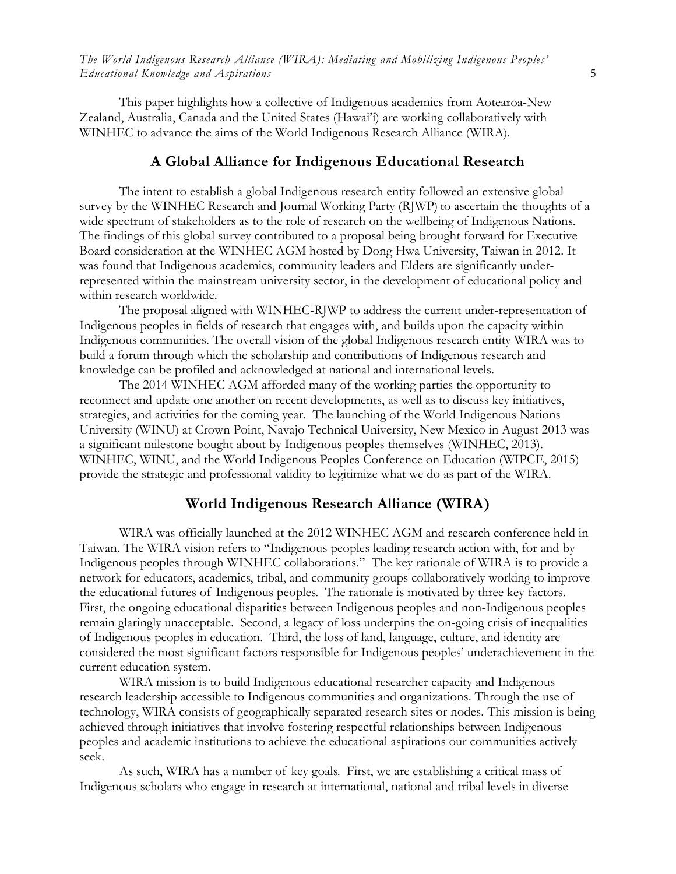This paper highlights how a collective of Indigenous academics from Aotearoa-New Zealand, Australia, Canada and the United States (Hawai'i) are working collaboratively with WINHEC to advance the aims of the World Indigenous Research Alliance (WIRA).

#### **A Global Alliance for Indigenous Educational Research**

The intent to establish a global Indigenous research entity followed an extensive global survey by the WINHEC Research and Journal Working Party (RJWP) to ascertain the thoughts of a wide spectrum of stakeholders as to the role of research on the wellbeing of Indigenous Nations. The findings of this global survey contributed to a proposal being brought forward for Executive Board consideration at the WINHEC AGM hosted by Dong Hwa University, Taiwan in 2012. It was found that Indigenous academics, community leaders and Elders are significantly underrepresented within the mainstream university sector, in the development of educational policy and within research worldwide.

The proposal aligned with WINHEC-RJWP to address the current under-representation of Indigenous peoples in fields of research that engages with, and builds upon the capacity within Indigenous communities. The overall vision of the global Indigenous research entity WIRA was to build a forum through which the scholarship and contributions of Indigenous research and knowledge can be profiled and acknowledged at national and international levels.

 The 2014 WINHEC AGM afforded many of the working parties the opportunity to reconnect and update one another on recent developments, as well as to discuss key initiatives, strategies, and activities for the coming year. The launching of the World Indigenous Nations University (WINU) at Crown Point, Navajo Technical University, New Mexico in August 2013 was a significant milestone bought about by Indigenous peoples themselves (WINHEC, 2013). WINHEC, WINU, and the World Indigenous Peoples Conference on Education (WIPCE, 2015) provide the strategic and professional validity to legitimize what we do as part of the WIRA.

#### **World Indigenous Research Alliance (WIRA)**

WIRA was officially launched at the 2012 WINHEC AGM and research conference held in Taiwan. The WIRA vision refers to "Indigenous peoples leading research action with, for and by Indigenous peoples through WINHEC collaborations." The key rationale of WIRA is to provide a network for educators, academics, tribal, and community groups collaboratively working to improve the educational futures of Indigenous peoples. The rationale is motivated by three key factors. First, the ongoing educational disparities between Indigenous peoples and non-Indigenous peoples remain glaringly unacceptable. Second, a legacy of loss underpins the on-going crisis of inequalities of Indigenous peoples in education. Third, the loss of land, language, culture, and identity are considered the most significant factors responsible for Indigenous peoples' underachievement in the current education system.

WIRA mission is to build Indigenous educational researcher capacity and Indigenous research leadership accessible to Indigenous communities and organizations. Through the use of technology, WIRA consists of geographically separated research sites or nodes. This mission is being achieved through initiatives that involve fostering respectful relationships between Indigenous peoples and academic institutions to achieve the educational aspirations our communities actively seek.

As such, WIRA has a number of key goals. First, we are establishing a critical mass of Indigenous scholars who engage in research at international, national and tribal levels in diverse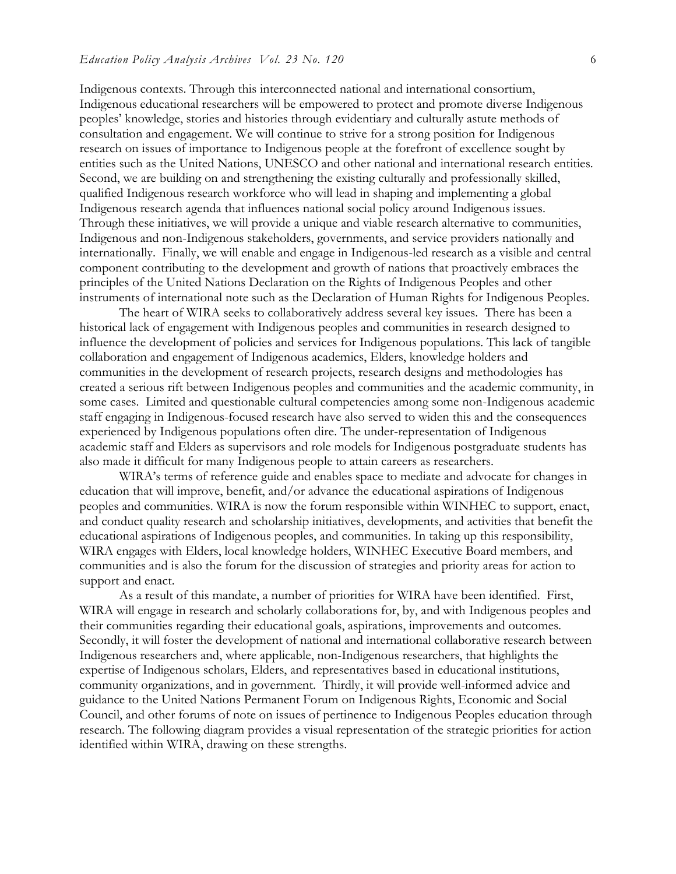Indigenous contexts. Through this interconnected national and international consortium, Indigenous educational researchers will be empowered to protect and promote diverse Indigenous peoples' knowledge, stories and histories through evidentiary and culturally astute methods of consultation and engagement. We will continue to strive for a strong position for Indigenous research on issues of importance to Indigenous people at the forefront of excellence sought by entities such as the United Nations, UNESCO and other national and international research entities. Second, we are building on and strengthening the existing culturally and professionally skilled, qualified Indigenous research workforce who will lead in shaping and implementing a global Indigenous research agenda that influences national social policy around Indigenous issues. Through these initiatives, we will provide a unique and viable research alternative to communities, Indigenous and non-Indigenous stakeholders, governments, and service providers nationally and internationally. Finally, we will enable and engage in Indigenous-led research as a visible and central component contributing to the development and growth of nations that proactively embraces the principles of the United Nations Declaration on the Rights of Indigenous Peoples and other instruments of international note such as the Declaration of Human Rights for Indigenous Peoples.

The heart of WIRA seeks to collaboratively address several key issues. There has been a historical lack of engagement with Indigenous peoples and communities in research designed to influence the development of policies and services for Indigenous populations. This lack of tangible collaboration and engagement of Indigenous academics, Elders, knowledge holders and communities in the development of research projects, research designs and methodologies has created a serious rift between Indigenous peoples and communities and the academic community, in some cases. Limited and questionable cultural competencies among some non-Indigenous academic staff engaging in Indigenous-focused research have also served to widen this and the consequences experienced by Indigenous populations often dire. The under-representation of Indigenous academic staff and Elders as supervisors and role models for Indigenous postgraduate students has also made it difficult for many Indigenous people to attain careers as researchers.

WIRA's terms of reference guide and enables space to mediate and advocate for changes in education that will improve, benefit, and/or advance the educational aspirations of Indigenous peoples and communities. WIRA is now the forum responsible within WINHEC to support, enact, and conduct quality research and scholarship initiatives, developments, and activities that benefit the educational aspirations of Indigenous peoples, and communities. In taking up this responsibility, WIRA engages with Elders, local knowledge holders, WINHEC Executive Board members, and communities and is also the forum for the discussion of strategies and priority areas for action to support and enact.

As a result of this mandate, a number of priorities for WIRA have been identified. First, WIRA will engage in research and scholarly collaborations for, by, and with Indigenous peoples and their communities regarding their educational goals, aspirations, improvements and outcomes. Secondly, it will foster the development of national and international collaborative research between Indigenous researchers and, where applicable, non-Indigenous researchers, that highlights the expertise of Indigenous scholars, Elders, and representatives based in educational institutions, community organizations, and in government. Thirdly, it will provide well-informed advice and guidance to the United Nations Permanent Forum on Indigenous Rights, Economic and Social Council, and other forums of note on issues of pertinence to Indigenous Peoples education through research. The following diagram provides a visual representation of the strategic priorities for action identified within WIRA, drawing on these strengths.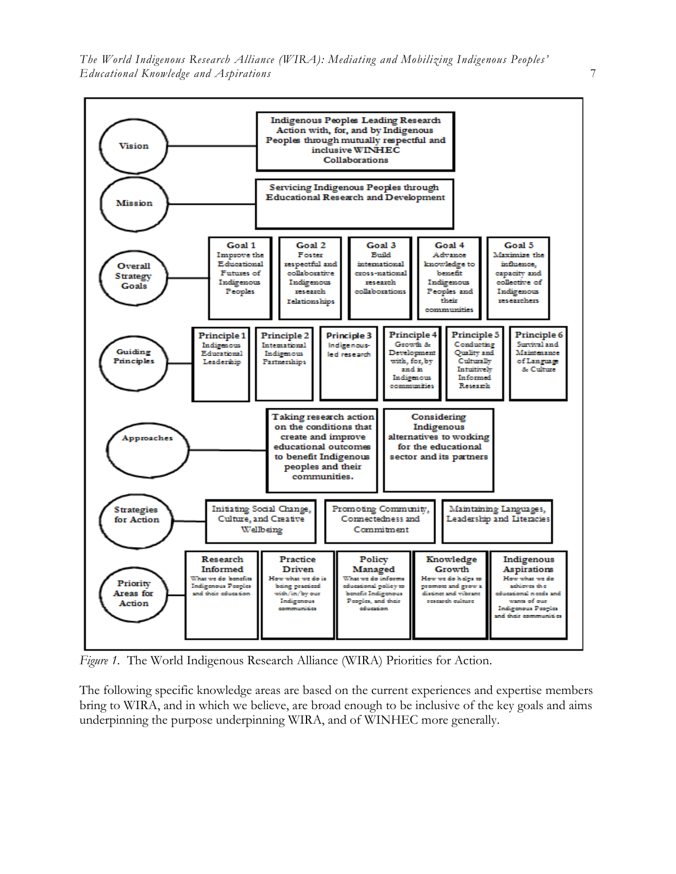

*Figure 1.* The World Indigenous Research Alliance (WIRA) Priorities for Action.

The following specific knowledge areas are based on the current experiences and expertise members bring to WIRA, and in which we believe, are broad enough to be inclusive of the key goals and aims underpinning the purpose underpinning WIRA, and of WINHEC more generally.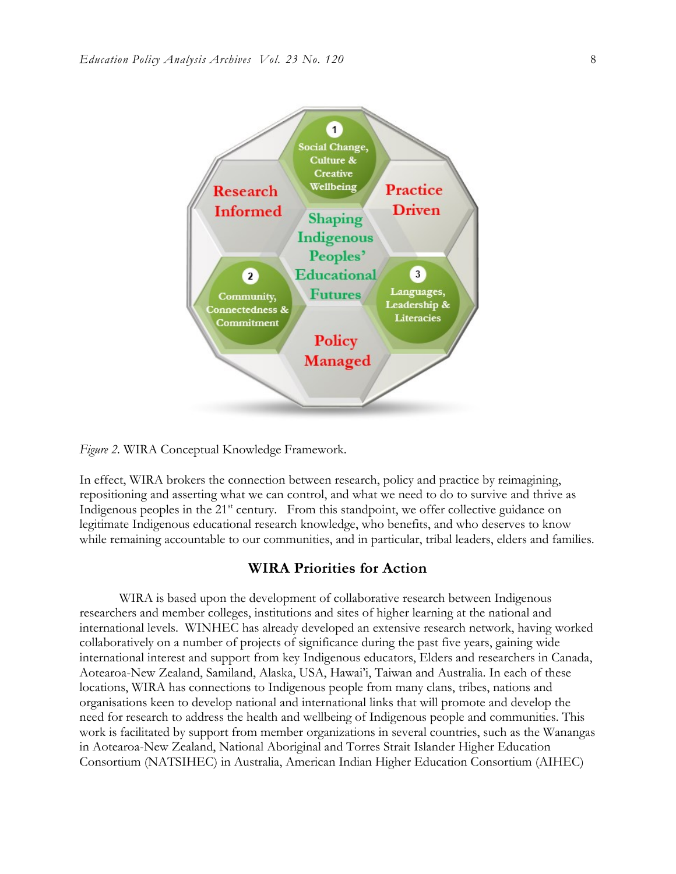

*Figure 2.* WIRA Conceptual Knowledge Framework.

In effect, WIRA brokers the connection between research, policy and practice by reimagining, repositioning and asserting what we can control, and what we need to do to survive and thrive as Indigenous peoples in the 21<sup>st</sup> century. From this standpoint, we offer collective guidance on legitimate Indigenous educational research knowledge, who benefits, and who deserves to know while remaining accountable to our communities, and in particular, tribal leaders, elders and families.

#### **WIRA Priorities for Action**

WIRA is based upon the development of collaborative research between Indigenous researchers and member colleges, institutions and sites of higher learning at the national and international levels. WINHEC has already developed an extensive research network, having worked collaboratively on a number of projects of significance during the past five years, gaining wide international interest and support from key Indigenous educators, Elders and researchers in Canada, Aotearoa-New Zealand, Samiland, Alaska, USA, Hawai'i, Taiwan and Australia. In each of these locations, WIRA has connections to Indigenous people from many clans, tribes, nations and organisations keen to develop national and international links that will promote and develop the need for research to address the health and wellbeing of Indigenous people and communities. This work is facilitated by support from member organizations in several countries, such as the Wanangas in Aotearoa-New Zealand, National Aboriginal and Torres Strait Islander Higher Education Consortium (NATSIHEC) in Australia, American Indian Higher Education Consortium (AIHEC)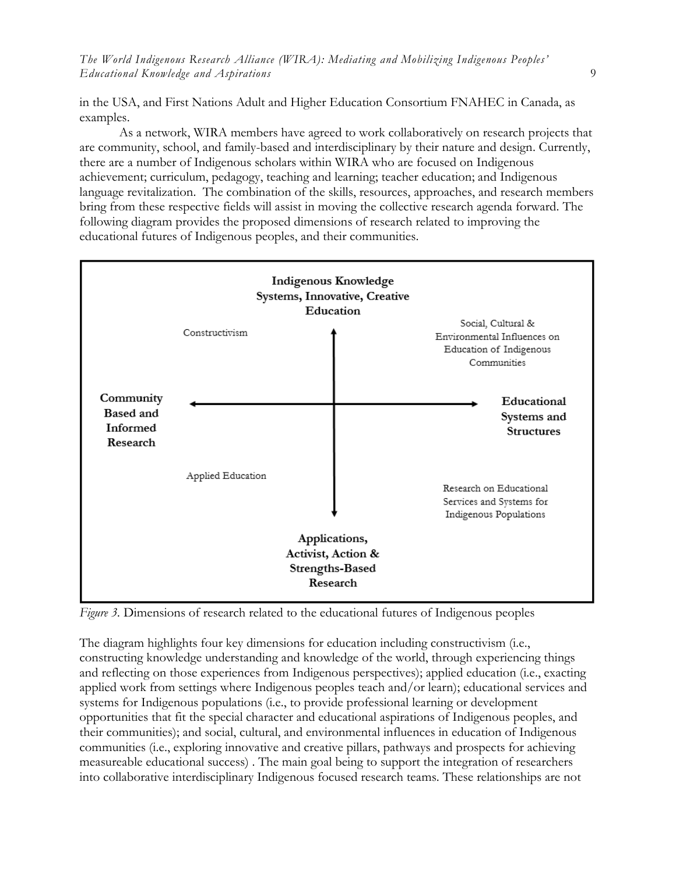in the USA, and First Nations Adult and Higher Education Consortium FNAHEC in Canada, as examples.

As a network, WIRA members have agreed to work collaboratively on research projects that are community, school, and family-based and interdisciplinary by their nature and design. Currently, there are a number of Indigenous scholars within WIRA who are focused on Indigenous achievement; curriculum, pedagogy, teaching and learning; teacher education; and Indigenous language revitalization. The combination of the skills, resources, approaches, and research members bring from these respective fields will assist in moving the collective research agenda forward. The following diagram provides the proposed dimensions of research related to improving the educational futures of Indigenous peoples, and their communities.



*Figure 3.* Dimensions of research related to the educational futures of Indigenous peoples

The diagram highlights four key dimensions for education including constructivism (i.e., constructing knowledge understanding and knowledge of the world, through experiencing things and reflecting on those experiences from Indigenous perspectives); applied education (i.e., exacting applied work from settings where Indigenous peoples teach and/or learn); educational services and systems for Indigenous populations (i.e., to provide professional learning or development opportunities that fit the special character and educational aspirations of Indigenous peoples, and their communities); and social, cultural, and environmental influences in education of Indigenous communities (i.e., exploring innovative and creative pillars, pathways and prospects for achieving measureable educational success) . The main goal being to support the integration of researchers into collaborative interdisciplinary Indigenous focused research teams. These relationships are not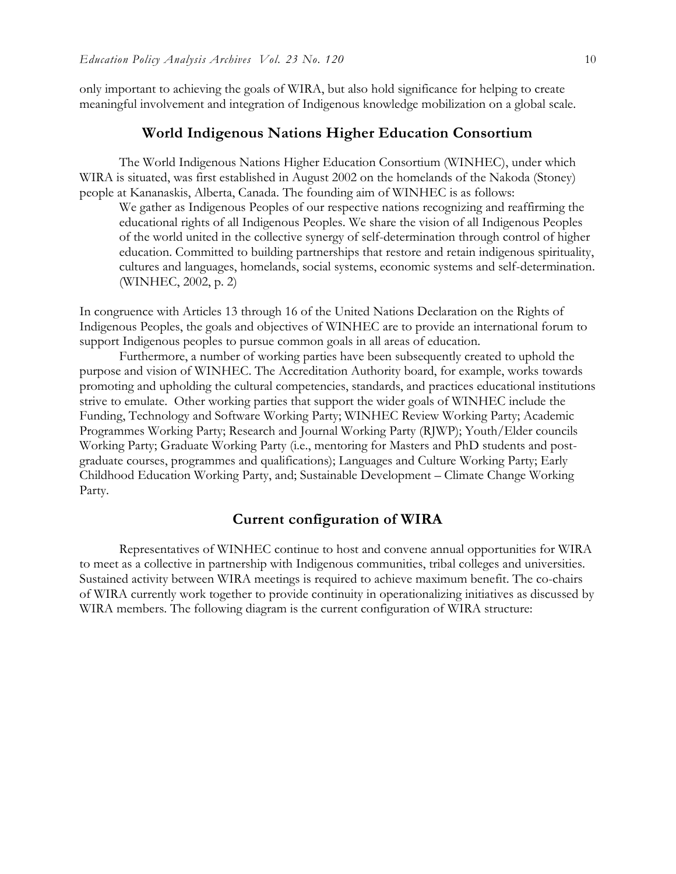only important to achieving the goals of WIRA, but also hold significance for helping to create meaningful involvement and integration of Indigenous knowledge mobilization on a global scale.

#### **World Indigenous Nations Higher Education Consortium**

The World Indigenous Nations Higher Education Consortium (WINHEC), under which WIRA is situated, was first established in August 2002 on the homelands of the Nakoda (Stoney) people at Kananaskis, Alberta, Canada. The founding aim of WINHEC is as follows:

We gather as Indigenous Peoples of our respective nations recognizing and reaffirming the educational rights of all Indigenous Peoples. We share the vision of all Indigenous Peoples of the world united in the collective synergy of self-determination through control of higher education. Committed to building partnerships that restore and retain indigenous spirituality, cultures and languages, homelands, social systems, economic systems and self-determination. (WINHEC, 2002, p. 2)

In congruence with Articles 13 through 16 of the United Nations Declaration on the Rights of Indigenous Peoples, the goals and objectives of WINHEC are to provide an international forum to support Indigenous peoples to pursue common goals in all areas of education.

Furthermore, a number of working parties have been subsequently created to uphold the purpose and vision of WINHEC. The Accreditation Authority board, for example, works towards promoting and upholding the cultural competencies, standards, and practices educational institutions strive to emulate. Other working parties that support the wider goals of WINHEC include the Funding, Technology and Software Working Party; WINHEC Review Working Party; Academic Programmes Working Party; Research and Journal Working Party (RJWP); Youth/Elder councils Working Party; Graduate Working Party (i.e., mentoring for Masters and PhD students and postgraduate courses, programmes and qualifications); Languages and Culture Working Party; Early Childhood Education Working Party, and; Sustainable Development – Climate Change Working Party.

#### **Current configuration of WIRA**

Representatives of WINHEC continue to host and convene annual opportunities for WIRA to meet as a collective in partnership with Indigenous communities, tribal colleges and universities. Sustained activity between WIRA meetings is required to achieve maximum benefit. The co-chairs of WIRA currently work together to provide continuity in operationalizing initiatives as discussed by WIRA members. The following diagram is the current configuration of WIRA structure: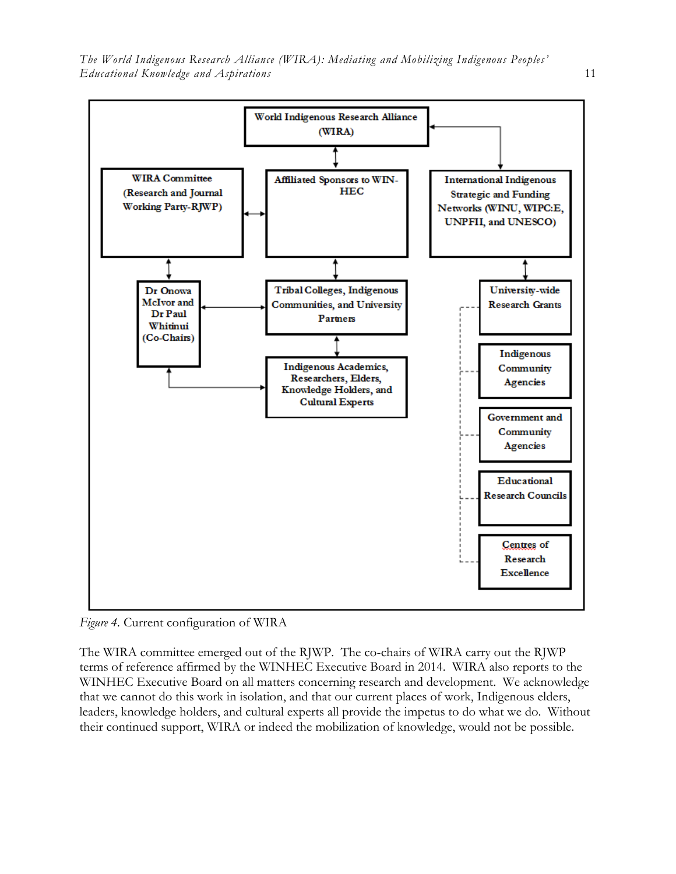

*Figure 4.* Current configuration of WIRA

The WIRA committee emerged out of the RJWP. The co-chairs of WIRA carry out the RJWP terms of reference affirmed by the WINHEC Executive Board in 2014. WIRA also reports to the WINHEC Executive Board on all matters concerning research and development. We acknowledge that we cannot do this work in isolation, and that our current places of work, Indigenous elders, leaders, knowledge holders, and cultural experts all provide the impetus to do what we do. Without their continued support, WIRA or indeed the mobilization of knowledge, would not be possible.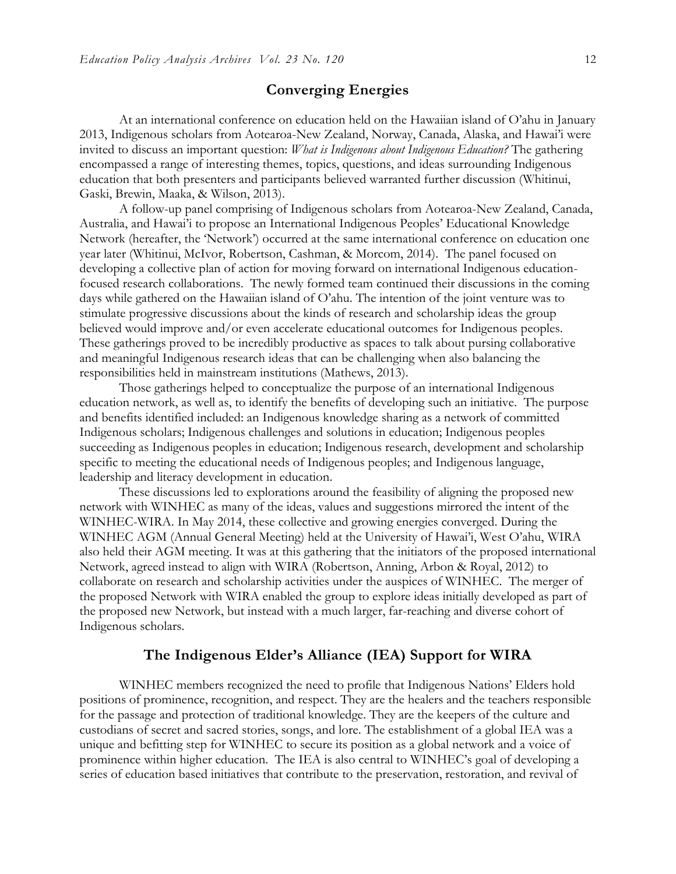#### **Converging Energies**

At an international conference on education held on the Hawaiian island of O'ahu in January 2013, Indigenous scholars from Aotearoa-New Zealand, Norway, Canada, Alaska, and Hawai'i were invited to discuss an important question: *What is Indigenous about Indigenous Education?* The gathering encompassed a range of interesting themes, topics, questions, and ideas surrounding Indigenous education that both presenters and participants believed warranted further discussion (Whitinui, Gaski, Brewin, Maaka, & Wilson, 2013).

A follow-up panel comprising of Indigenous scholars from Aotearoa-New Zealand, Canada, Australia, and Hawai'i to propose an International Indigenous Peoples' Educational Knowledge Network (hereafter, the 'Network') occurred at the same international conference on education one year later (Whitinui, McIvor, Robertson, Cashman, & Morcom, 2014). The panel focused on developing a collective plan of action for moving forward on international Indigenous educationfocused research collaborations. The newly formed team continued their discussions in the coming days while gathered on the Hawaiian island of O'ahu. The intention of the joint venture was to stimulate progressive discussions about the kinds of research and scholarship ideas the group believed would improve and/or even accelerate educational outcomes for Indigenous peoples. These gatherings proved to be incredibly productive as spaces to talk about pursing collaborative and meaningful Indigenous research ideas that can be challenging when also balancing the responsibilities held in mainstream institutions (Mathews, 2013).

Those gatherings helped to conceptualize the purpose of an international Indigenous education network, as well as, to identify the benefits of developing such an initiative. The purpose and benefits identified included: an Indigenous knowledge sharing as a network of committed Indigenous scholars; Indigenous challenges and solutions in education; Indigenous peoples succeeding as Indigenous peoples in education; Indigenous research, development and scholarship specific to meeting the educational needs of Indigenous peoples; and Indigenous language, leadership and literacy development in education.

These discussions led to explorations around the feasibility of aligning the proposed new network with WINHEC as many of the ideas, values and suggestions mirrored the intent of the WINHEC-WIRA. In May 2014, these collective and growing energies converged. During the WINHEC AGM (Annual General Meeting) held at the University of Hawai'i, West O'ahu, WIRA also held their AGM meeting. It was at this gathering that the initiators of the proposed international Network, agreed instead to align with WIRA (Robertson, Anning, Arbon & Royal, 2012) to collaborate on research and scholarship activities under the auspices of WINHEC. The merger of the proposed Network with WIRA enabled the group to explore ideas initially developed as part of the proposed new Network, but instead with a much larger, far-reaching and diverse cohort of Indigenous scholars.

#### **The Indigenous Elder's Alliance (IEA) Support for WIRA**

WINHEC members recognized the need to profile that Indigenous Nations' Elders hold positions of prominence, recognition, and respect. They are the healers and the teachers responsible for the passage and protection of traditional knowledge. They are the keepers of the culture and custodians of secret and sacred stories, songs, and lore. The establishment of a global IEA was a unique and befitting step for WINHEC to secure its position as a global network and a voice of prominence within higher education. The IEA is also central to WINHEC's goal of developing a series of education based initiatives that contribute to the preservation, restoration, and revival of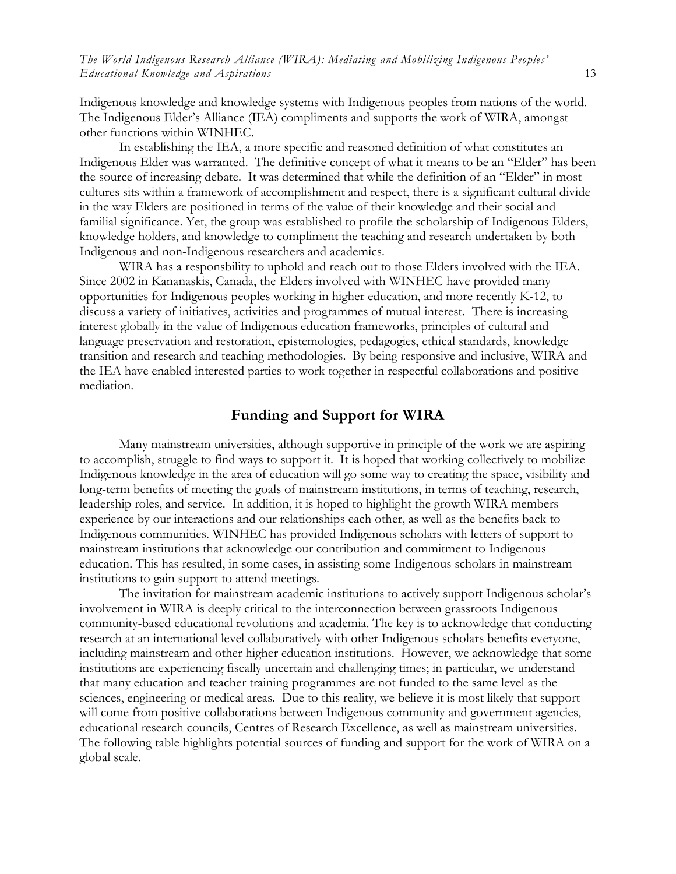Indigenous knowledge and knowledge systems with Indigenous peoples from nations of the world. The Indigenous Elder's Alliance (IEA) compliments and supports the work of WIRA, amongst other functions within WINHEC.

In establishing the IEA, a more specific and reasoned definition of what constitutes an Indigenous Elder was warranted. The definitive concept of what it means to be an "Elder" has been the source of increasing debate. It was determined that while the definition of an "Elder" in most cultures sits within a framework of accomplishment and respect, there is a significant cultural divide in the way Elders are positioned in terms of the value of their knowledge and their social and familial significance. Yet, the group was established to profile the scholarship of Indigenous Elders, knowledge holders, and knowledge to compliment the teaching and research undertaken by both Indigenous and non-Indigenous researchers and academics.

WIRA has a responsbility to uphold and reach out to those Elders involved with the IEA. Since 2002 in Kananaskis, Canada, the Elders involved with WINHEC have provided many opportunities for Indigenous peoples working in higher education, and more recently K-12, to discuss a variety of initiatives, activities and programmes of mutual interest. There is increasing interest globally in the value of Indigenous education frameworks, principles of cultural and language preservation and restoration, epistemologies, pedagogies, ethical standards, knowledge transition and research and teaching methodologies. By being responsive and inclusive, WIRA and the IEA have enabled interested parties to work together in respectful collaborations and positive mediation.

#### **Funding and Support for WIRA**

Many mainstream universities, although supportive in principle of the work we are aspiring to accomplish, struggle to find ways to support it. It is hoped that working collectively to mobilize Indigenous knowledge in the area of education will go some way to creating the space, visibility and long-term benefits of meeting the goals of mainstream institutions, in terms of teaching, research, leadership roles, and service. In addition, it is hoped to highlight the growth WIRA members experience by our interactions and our relationships each other, as well as the benefits back to Indigenous communities. WINHEC has provided Indigenous scholars with letters of support to mainstream institutions that acknowledge our contribution and commitment to Indigenous education. This has resulted, in some cases, in assisting some Indigenous scholars in mainstream institutions to gain support to attend meetings.

The invitation for mainstream academic institutions to actively support Indigenous scholar's involvement in WIRA is deeply critical to the interconnection between grassroots Indigenous community-based educational revolutions and academia. The key is to acknowledge that conducting research at an international level collaboratively with other Indigenous scholars benefits everyone, including mainstream and other higher education institutions. However, we acknowledge that some institutions are experiencing fiscally uncertain and challenging times; in particular, we understand that many education and teacher training programmes are not funded to the same level as the sciences, engineering or medical areas. Due to this reality, we believe it is most likely that support will come from positive collaborations between Indigenous community and government agencies, educational research councils, Centres of Research Excellence, as well as mainstream universities. The following table highlights potential sources of funding and support for the work of WIRA on a global scale.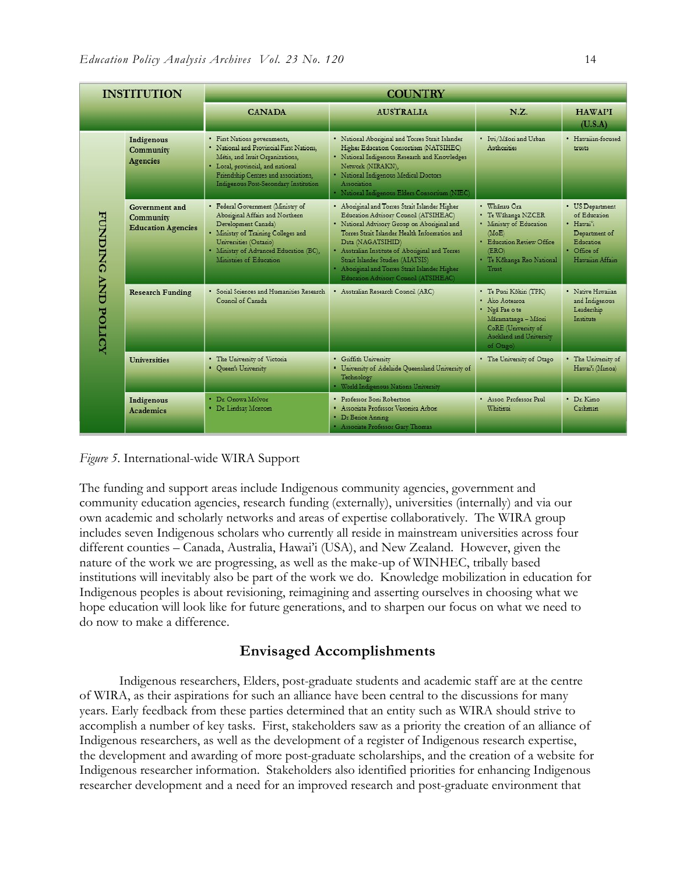| <b>INSTITUTION</b>                  |                                                          | <b>COUNTRY</b>                                                                                                                                                                                                                    |                                                                                                                                                                                                                                                                                                                                                                                               |                                                                                                                                                    |                                                                                                               |
|-------------------------------------|----------------------------------------------------------|-----------------------------------------------------------------------------------------------------------------------------------------------------------------------------------------------------------------------------------|-----------------------------------------------------------------------------------------------------------------------------------------------------------------------------------------------------------------------------------------------------------------------------------------------------------------------------------------------------------------------------------------------|----------------------------------------------------------------------------------------------------------------------------------------------------|---------------------------------------------------------------------------------------------------------------|
|                                     |                                                          | <b>CANADA</b>                                                                                                                                                                                                                     | <b>AUSTRALIA</b>                                                                                                                                                                                                                                                                                                                                                                              | N.Z.                                                                                                                                               | <b>HAWAPI</b><br>(U.S.A)                                                                                      |
| <b>FUNDING AND</b><br><b>POLICY</b> | Indigenous<br>Community<br>Agencies                      | · First Nations governments,<br>· National and Provincial First Nations.<br>Métis, and Inuit Organizations,<br>· Local, provincial, and national<br>Friendship Centres and associations,<br>Indigenous Post-Secondary Institution | · National Abonginal and Torres Strait Islander<br>Higher Education Consortium (NATSIHEC)<br>· National Indigenous Research and Knowledges<br>Network (NIRAKN),<br>· National Indigenous Medical Doctors<br>Association<br>· National Indigenous Elders Consortium (NIEC)                                                                                                                     | · Iwi/Maori and Urban<br>Authorities                                                                                                               | · Hawaiian-focused<br>trusts                                                                                  |
|                                     | Government and<br>Community<br><b>Education Agencies</b> | · Federal Government (Ministry of<br>Aboriginal Affairs and Northern<br>Development Canada)<br>· Ministry of Training Colleges and<br>Universities (Ontario)<br>· Ministry of Advanced Education (BC),<br>Ministries of Education | . Abonginal and Torres Strait Islander Higher<br>Education Advisory Council (ATSIHEAC)<br>· National Advisory Group on Aboriginal and<br>Torres Strait Islander Health Information and<br>Data (NAGATSIHID)<br>· Australian Institute of Aboriginal and Torres<br>Strait Islander Studies (AIATSIS)<br>· Abonginal and Torres Strait Islander Higher<br>Education Advisory Council (ATSIHEAC) | · Whānau Ora<br>• Te Wähanga NZCER<br>· Ministry of Education<br>(MoE)<br>· Education Review Office<br>(ERO)<br>· Te Köhanga Reo National<br>Trust | • US Department<br>of Education<br>· Hawai'i<br>Department of<br>Education<br>· Office of<br>Hawaiian Affairs |
|                                     | <b>Research Funding</b>                                  | · Social Sciences and Humanities Research<br>Council of Canada                                                                                                                                                                    | · Australian Research Council (ARC)                                                                                                                                                                                                                                                                                                                                                           | • Te Puni Kōkin (TPK)<br>· Ako Aotearoa<br>· Ngã Pae o te<br>Māramatanga - Māori<br>CoRE (University of<br>Auckland and University<br>of Otago)    | · Native Hawaiian<br>and Indigenous<br>Leadership<br>Institute                                                |
|                                     | <b>Universities</b>                                      | . The University of Victoria<br>· Queen's University                                                                                                                                                                              | · Griffith University<br>· University of Adelaide Queensland University of<br>Technology<br>· World Indigenous Nations University                                                                                                                                                                                                                                                             | . The University of Otago                                                                                                                          | • The University of<br>Hawai'i (Manoa)                                                                        |
|                                     | Indigenous<br><b>Academics</b>                           | · Dr. Onowa McIvor<br>· Dr. Lindsay Moreom                                                                                                                                                                                        | · Professor Boni Robertson<br>· Associate Professor Veronica Arbon<br>Dr Berice Anning<br>· Associate Professor Gary Thomas                                                                                                                                                                                                                                                                   | · Assoc. Professor Paul<br>Whitinui                                                                                                                | · Dr Kimo<br>Cashman                                                                                          |

*Figure 5*. International-wide WIRA Support

The funding and support areas include Indigenous community agencies, government and community education agencies, research funding (externally), universities (internally) and via our own academic and scholarly networks and areas of expertise collaboratively. The WIRA group includes seven Indigenous scholars who currently all reside in mainstream universities across four different counties – Canada, Australia, Hawai'i (USA), and New Zealand. However, given the nature of the work we are progressing, as well as the make-up of WINHEC, tribally based institutions will inevitably also be part of the work we do. Knowledge mobilization in education for Indigenous peoples is about revisioning, reimagining and asserting ourselves in choosing what we hope education will look like for future generations, and to sharpen our focus on what we need to do now to make a difference.

### **Envisaged Accomplishments**

Indigenous researchers, Elders, post-graduate students and academic staff are at the centre of WIRA, as their aspirations for such an alliance have been central to the discussions for many years. Early feedback from these parties determined that an entity such as WIRA should strive to accomplish a number of key tasks. First, stakeholders saw as a priority the creation of an alliance of Indigenous researchers, as well as the development of a register of Indigenous research expertise, the development and awarding of more post-graduate scholarships, and the creation of a website for Indigenous researcher information. Stakeholders also identified priorities for enhancing Indigenous researcher development and a need for an improved research and post-graduate environment that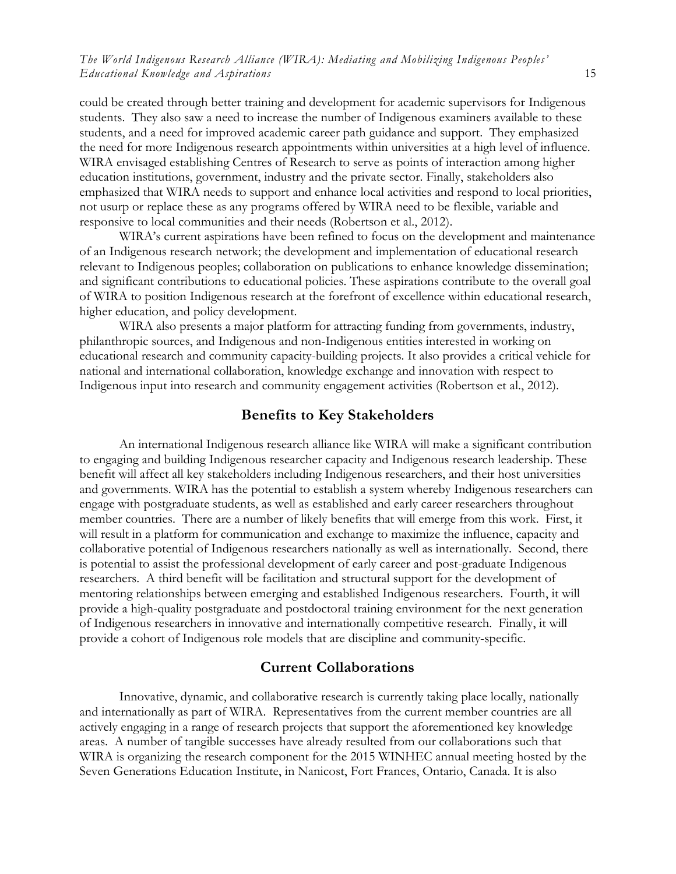could be created through better training and development for academic supervisors for Indigenous students. They also saw a need to increase the number of Indigenous examiners available to these students, and a need for improved academic career path guidance and support. They emphasized the need for more Indigenous research appointments within universities at a high level of influence. WIRA envisaged establishing Centres of Research to serve as points of interaction among higher education institutions, government, industry and the private sector. Finally, stakeholders also emphasized that WIRA needs to support and enhance local activities and respond to local priorities, not usurp or replace these as any programs offered by WIRA need to be flexible, variable and responsive to local communities and their needs (Robertson et al., 2012).

WIRA's current aspirations have been refined to focus on the development and maintenance of an Indigenous research network; the development and implementation of educational research relevant to Indigenous peoples; collaboration on publications to enhance knowledge dissemination; and significant contributions to educational policies. These aspirations contribute to the overall goal of WIRA to position Indigenous research at the forefront of excellence within educational research, higher education, and policy development.

WIRA also presents a major platform for attracting funding from governments, industry, philanthropic sources, and Indigenous and non-Indigenous entities interested in working on educational research and community capacity-building projects. It also provides a critical vehicle for national and international collaboration, knowledge exchange and innovation with respect to Indigenous input into research and community engagement activities (Robertson et al., 2012).

#### **Benefits to Key Stakeholders**

An international Indigenous research alliance like WIRA will make a significant contribution to engaging and building Indigenous researcher capacity and Indigenous research leadership. These benefit will affect all key stakeholders including Indigenous researchers, and their host universities and governments. WIRA has the potential to establish a system whereby Indigenous researchers can engage with postgraduate students, as well as established and early career researchers throughout member countries. There are a number of likely benefits that will emerge from this work. First, it will result in a platform for communication and exchange to maximize the influence, capacity and collaborative potential of Indigenous researchers nationally as well as internationally. Second, there is potential to assist the professional development of early career and post-graduate Indigenous researchers. A third benefit will be facilitation and structural support for the development of mentoring relationships between emerging and established Indigenous researchers. Fourth, it will provide a high-quality postgraduate and postdoctoral training environment for the next generation of Indigenous researchers in innovative and internationally competitive research. Finally, it will provide a cohort of Indigenous role models that are discipline and community-specific.

#### **Current Collaborations**

Innovative, dynamic, and collaborative research is currently taking place locally, nationally and internationally as part of WIRA. Representatives from the current member countries are all actively engaging in a range of research projects that support the aforementioned key knowledge areas. A number of tangible successes have already resulted from our collaborations such that WIRA is organizing the research component for the 2015 WINHEC annual meeting hosted by the Seven Generations Education Institute, in Nanicost, Fort Frances, Ontario, Canada. It is also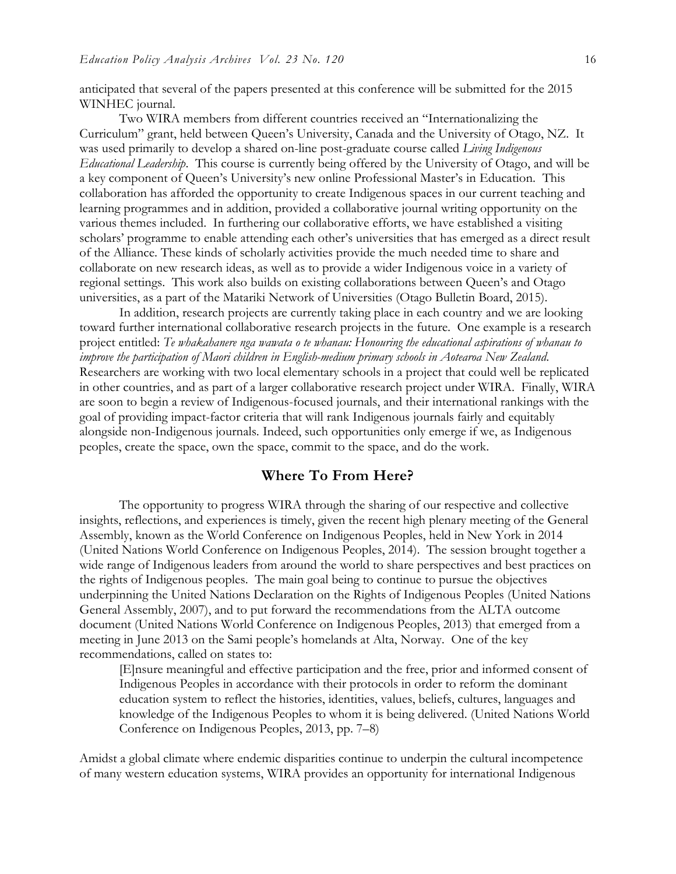anticipated that several of the papers presented at this conference will be submitted for the 2015 WINHEC journal.

Two WIRA members from different countries received an "Internationalizing the Curriculum" grant, held between Queen's University, Canada and the University of Otago, NZ. It was used primarily to develop a shared on-line post-graduate course called *Living Indigenous Educational Leadership*. This course is currently being offered by the University of Otago, and will be a key component of Queen's University's new online Professional Master's in Education. This collaboration has afforded the opportunity to create Indigenous spaces in our current teaching and learning programmes and in addition, provided a collaborative journal writing opportunity on the various themes included. In furthering our collaborative efforts, we have established a visiting scholars' programme to enable attending each other's universities that has emerged as a direct result of the Alliance. These kinds of scholarly activities provide the much needed time to share and collaborate on new research ideas, as well as to provide a wider Indigenous voice in a variety of regional settings. This work also builds on existing collaborations between Queen's and Otago universities, as a part of the Matariki Network of Universities (Otago Bulletin Board, 2015).

In addition, research projects are currently taking place in each country and we are looking toward further international collaborative research projects in the future. One example is a research project entitled: *Te whakahanere nga wawata o te whanau: Honouring the educational aspirations of whanau to improve the participation of Maori children in English-medium primary schools in Aotearoa New Zealand*. Researchers are working with two local elementary schools in a project that could well be replicated in other countries, and as part of a larger collaborative research project under WIRA. Finally, WIRA are soon to begin a review of Indigenous-focused journals, and their international rankings with the goal of providing impact-factor criteria that will rank Indigenous journals fairly and equitably alongside non-Indigenous journals. Indeed, such opportunities only emerge if we, as Indigenous peoples, create the space, own the space, commit to the space, and do the work.

#### **Where To From Here?**

The opportunity to progress WIRA through the sharing of our respective and collective insights, reflections, and experiences is timely, given the recent high plenary meeting of the General Assembly, known as the World Conference on Indigenous Peoples, held in New York in 2014 (United Nations World Conference on Indigenous Peoples, 2014). The session brought together a wide range of Indigenous leaders from around the world to share perspectives and best practices on the rights of Indigenous peoples. The main goal being to continue to pursue the objectives underpinning the United Nations Declaration on the Rights of Indigenous Peoples (United Nations General Assembly, 2007), and to put forward the recommendations from the ALTA outcome document (United Nations World Conference on Indigenous Peoples, 2013) that emerged from a meeting in June 2013 on the Sami people's homelands at Alta, Norway. One of the key recommendations, called on states to:

[E]nsure meaningful and effective participation and the free, prior and informed consent of Indigenous Peoples in accordance with their protocols in order to reform the dominant education system to reflect the histories, identities, values, beliefs, cultures, languages and knowledge of the Indigenous Peoples to whom it is being delivered. (United Nations World Conference on Indigenous Peoples, 2013, pp. 7–8)

Amidst a global climate where endemic disparities continue to underpin the cultural incompetence of many western education systems, WIRA provides an opportunity for international Indigenous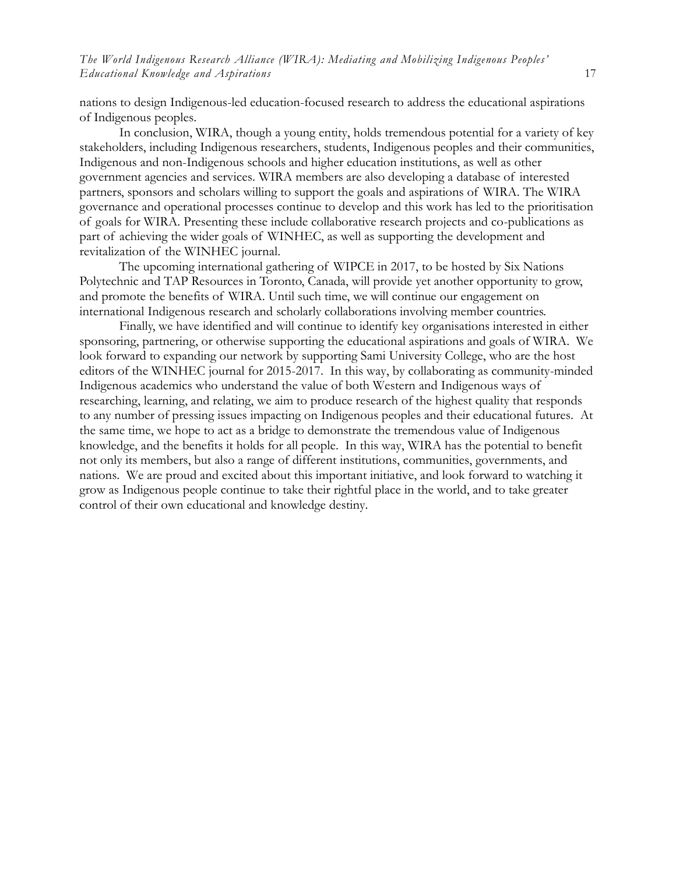nations to design Indigenous-led education-focused research to address the educational aspirations of Indigenous peoples.

In conclusion, WIRA, though a young entity, holds tremendous potential for a variety of key stakeholders, including Indigenous researchers, students, Indigenous peoples and their communities, Indigenous and non-Indigenous schools and higher education institutions, as well as other government agencies and services. WIRA members are also developing a database of interested partners, sponsors and scholars willing to support the goals and aspirations of WIRA. The WIRA governance and operational processes continue to develop and this work has led to the prioritisation of goals for WIRA. Presenting these include collaborative research projects and co-publications as part of achieving the wider goals of WINHEC, as well as supporting the development and revitalization of the WINHEC journal.

The upcoming international gathering of WIPCE in 2017, to be hosted by Six Nations Polytechnic and TAP Resources in Toronto, Canada, will provide yet another opportunity to grow, and promote the benefits of WIRA. Until such time, we will continue our engagement on international Indigenous research and scholarly collaborations involving member countries.

Finally, we have identified and will continue to identify key organisations interested in either sponsoring, partnering, or otherwise supporting the educational aspirations and goals of WIRA. We look forward to expanding our network by supporting Sami University College, who are the host editors of the WINHEC journal for 2015-2017. In this way, by collaborating as community-minded Indigenous academics who understand the value of both Western and Indigenous ways of researching, learning, and relating, we aim to produce research of the highest quality that responds to any number of pressing issues impacting on Indigenous peoples and their educational futures. At the same time, we hope to act as a bridge to demonstrate the tremendous value of Indigenous knowledge, and the benefits it holds for all people. In this way, WIRA has the potential to benefit not only its members, but also a range of different institutions, communities, governments, and nations. We are proud and excited about this important initiative, and look forward to watching it grow as Indigenous people continue to take their rightful place in the world, and to take greater control of their own educational and knowledge destiny.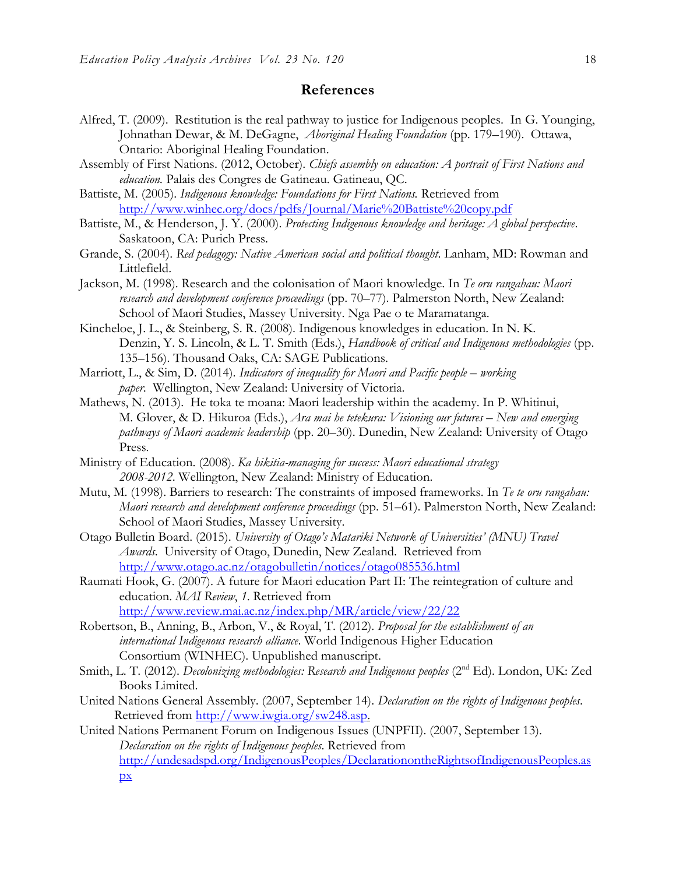#### **References**

- Alfred, T. (2009). Restitution is the real pathway to justice for Indigenous peoples. In G. Younging, Johnathan Dewar, & M. DeGagne, *Aboriginal Healing Foundation* (pp. 179–190). Ottawa, Ontario: Aboriginal Healing Foundation.
- Assembly of First Nations. (2012, October). *Chiefs assembly on education: A portrait of First Nations and education.* Palais des Congres de Gatineau. Gatineau, QC.
- Battiste, M. (2005). *Indigenous knowledge: Foundations for First Nations.* Retrieved from <http://www.winhec.org/docs/pdfs/Journal/Marie%20Battiste%20copy.pdf>
- Battiste, M., & Henderson, J. Y. (2000). *Protecting Indigenous knowledge and heritage: A global perspective*. Saskatoon, CA: Purich Press.
- Grande, S. (2004). *Red pedagogy: Native American social and political thought*. Lanham, MD: Rowman and Littlefield.
- Jackson, M. (1998). Research and the colonisation of Maori knowledge. In *Te oru rangahau: Maori research and development conference proceedings* (pp. 70–77). Palmerston North, New Zealand: School of Maori Studies, Massey University. Nga Pae o te Maramatanga.
- Kincheloe, J. L., & Steinberg, S. R. (2008). Indigenous knowledges in education. In N. K. Denzin, Y. S. Lincoln, & L. T. Smith (Eds.), *Handbook of critical and Indigenous methodologies* (pp. 135–156). Thousand Oaks, CA: SAGE Publications.
- Marriott, L., & Sim, D. (2014). *Indicators of inequality for Maori and Pacific people working paper*. Wellington, New Zealand: University of Victoria.
- Mathews, N. (2013). He toka te moana: Maori leadership within the academy. In P. Whitinui, M. Glover, & D. Hikuroa (Eds.), *Ara mai he tetekura: Visioning our futures – New and emerging pathways of Maori academic leadership* (pp. 20–30). Dunedin, New Zealand: University of Otago Press.
- Ministry of Education. (2008). *Ka hikitia-managing for success: Maori educational strategy 2008-2012*. Wellington, New Zealand: Ministry of Education.
- Mutu, M. (1998). Barriers to research: The constraints of imposed frameworks. In *Te te oru rangahau: Maori research and development conference proceedings* (pp. 51–61). Palmerston North, New Zealand: School of Maori Studies, Massey University.
- Otago Bulletin Board. (2015). *University of Otago's Matariki Network of Universities' (MNU) Travel Awards*. University of Otago, Dunedin, New Zealand. Retrieved from <http://www.otago.ac.nz/otagobulletin/notices/otago085536.html>
- Raumati Hook, G. (2007). A future for Maori education Part II: The reintegration of culture and education. *MAI Review*, *1*. Retrieved from <http://www.review.mai.ac.nz/index.php/MR/article/view/22/22>
- Robertson, B., Anning, B., Arbon, V., & Royal, T. (2012). *Proposal for the establishment of an international Indigenous research alliance*. World Indigenous Higher Education Consortium (WINHEC). Unpublished manuscript.
- Smith, L. T. (2012). *Decolonizing methodologies: Research and Indigenous peoples* (2<sup>nd</sup> Ed). London, UK: Zed Books Limited.
- United Nations General Assembly. (2007, September 14). *Declaration on the rights of Indigenous peoples*. Retrieved from [http://www.iwgia.org/sw248.asp.](http://www.iwgia.org/sw248.asp)
- United Nations Permanent Forum on Indigenous Issues (UNPFII). (2007, September 13). *Declaration on the rights of Indigenous peoples*. Retrieved from [http://undesadspd.org/IndigenousPeoples/DeclarationontheRightsofIndigenousPeoples.as](http://undesadspd.org/IndigenousPeoples/DeclarationontheRightsofIndigenousPeoples.aspx)  $\overline{\mathbf{p}}$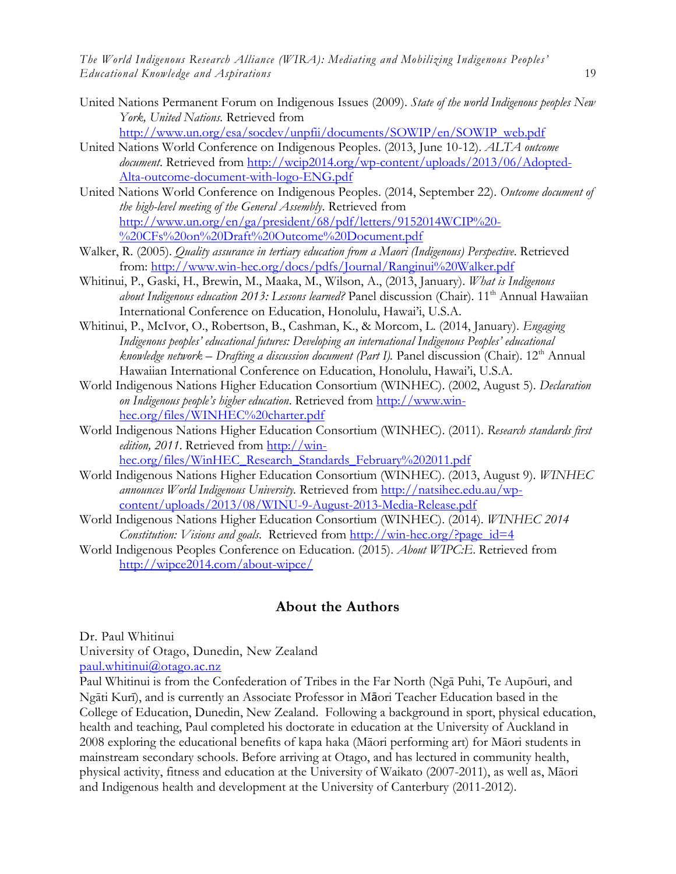- United Nations Permanent Forum on Indigenous Issues (2009). *State of the world Indigenous peoples New York, United Nations.* Retrieved from [http://www.un.org/esa/socdev/unpfii/documents/SOWIP/en/SOWIP\\_web.pdf](http://www.un.org/esa/socdev/unpfii/documents/SOWIP/en/SOWIP_web.pdf)
- United Nations World Conference on Indigenous Peoples. (2013, June 10-12). *ALTA outcome document*. Retrieved from [http://wcip2014.org/wp-content/uploads/2013/06/Adopted-](http://wcip2014.org/wp-content/uploads/2013/06/Adopted-Alta-outcome-document-with-logo-ENG.pdf)[Alta-outcome-document-with-logo-ENG.pdf](http://wcip2014.org/wp-content/uploads/2013/06/Adopted-Alta-outcome-document-with-logo-ENG.pdf)
- United Nations World Conference on Indigenous Peoples. (2014, September 22). *Outcome document of the high-level meeting of the General Assembly*. Retrieved from [http://www.un.org/en/ga/president/68/pdf/letters/9152014WCIP%20-](http://www.un.org/en/ga/president/68/pdf/letters/9152014WCIP%20-%20CFs%20on%20Draft%20Outcome%20Document.pdf) [%20CFs%20on%20Draft%20Outcome%20Document.pdf](http://www.un.org/en/ga/president/68/pdf/letters/9152014WCIP%20-%20CFs%20on%20Draft%20Outcome%20Document.pdf)
- Walker, R. (2005). *Quality assurance in tertiary education from a Maori (Indigenous) Perspective*. Retrieved from:<http://www.win-hec.org/docs/pdfs/Journal/Ranginui%20Walker.pdf>
- Whitinui, P., Gaski, H., Brewin, M., Maaka, M., Wilson, A., (2013, January). *What is Indigenous*  about Indigenous education 2013: Lessons learned? Panel discussion (Chair). 11<sup>th</sup> Annual Hawaiian International Conference on Education, Honolulu, Hawai'i, U.S.A.
- Whitinui, P., McIvor, O., Robertson, B., Cashman, K., & Morcom, L. (2014, January). *Engaging Indigenous peoples' educational futures: Developing an international Indigenous Peoples' educational knowledge network – Drafting a discussion document (Part I).* Panel discussion (Chair). 12th Annual Hawaiian International Conference on Education, Honolulu, Hawai'i, U.S.A.
- World Indigenous Nations Higher Education Consortium (WINHEC). (2002, August 5). *Declaration on Indigenous people's higher education*. Retrieved from [http://www.win](http://www.win-hec.org/files/WINHEC%20charter.pdf)[hec.org/files/WINHEC%20charter.pdf](http://www.win-hec.org/files/WINHEC%20charter.pdf)
- World Indigenous Nations Higher Education Consortium (WINHEC). (2011). *Research standards first edition, 2011*. Retrieved from [http://win](http://win-hec.org/files/WinHEC_Research_Standards_February%202011.pdf)[hec.org/files/WinHEC\\_Research\\_Standards\\_February%202011.pdf](http://win-hec.org/files/WinHEC_Research_Standards_February%202011.pdf)
- World Indigenous Nations Higher Education Consortium (WINHEC). (2013, August 9). *WINHEC announces World Indigenous University.* Retrieved from [http://natsihec.edu.au/wp](http://natsihec.edu.au/wp-content/uploads/2013/08/WINU-9-August-2013-Media-Release.pdf)[content/uploads/2013/08/WINU-9-August-2013-Media-Release.pdf](http://natsihec.edu.au/wp-content/uploads/2013/08/WINU-9-August-2013-Media-Release.pdf)
- World Indigenous Nations Higher Education Consortium (WINHEC). (2014). *WINHEC 2014 Constitution: Visions and goals*. Retrieved from [http://win-hec.org/?page\\_id=4](http://win-hec.org/?page_id=4)
- World Indigenous Peoples Conference on Education. (2015). *About WIPC:E*. Retrieved from <http://wipce2014.com/about-wipce/>

### **About the Authors**

Dr. Paul Whitinui University of Otago, Dunedin, New Zealand [paul.whitinui@otago.ac.nz](file:///C:/Users/Samantha%20Jo/Dropbox/001%20Queen)

Paul Whitinui is from the Confederation of Tribes in the Far North (Ngā Puhi, Te Aupōuri, and Ngāti Kurī), and is currently an Associate Professor in Māori Teacher Education based in the College of Education, Dunedin, New Zealand. Following a background in sport, physical education, health and teaching, Paul completed his doctorate in education at the University of Auckland in 2008 exploring the educational benefits of kapa haka (Māori performing art) for Māori students in mainstream secondary schools. Before arriving at Otago, and has lectured in community health, physical activity, fitness and education at the University of Waikato (2007-2011), as well as, Māori and Indigenous health and development at the University of Canterbury (2011-2012).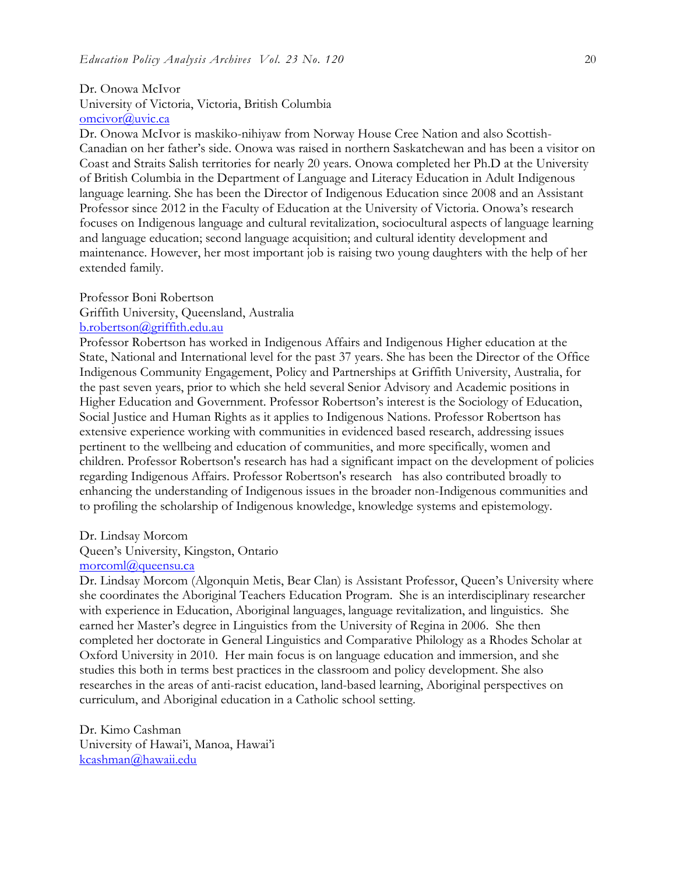#### Dr. Onowa McIvor University of Victoria, Victoria, British Columbia [omcivor@uvic.ca](mailto:omcivor@uvic.ca)

Dr. Onowa McIvor is maskiko-nihiyaw from Norway House Cree Nation and also Scottish-Canadian on her father's side. Onowa was raised in northern Saskatchewan and has been a visitor on Coast and Straits Salish territories for nearly 20 years. Onowa completed her Ph.D at the University of British Columbia in the Department of Language and Literacy Education in Adult Indigenous language learning. She has been the Director of Indigenous Education since 2008 and an Assistant Professor since 2012 in the Faculty of Education at the University of Victoria. Onowa's research focuses on Indigenous language and cultural revitalization, sociocultural aspects of language learning and language education; second language acquisition; and cultural identity development and maintenance. However, her most important job is raising two young daughters with the help of her extended family.

#### Professor Boni Robertson

Griffith University, Queensland, Australia

#### [b.robertson@griffith.edu.au](mailto:b.robertson@griffith.edu.au)

Professor Robertson has worked in Indigenous Affairs and Indigenous Higher education at the State, National and International level for the past 37 years. She has been the Director of the Office Indigenous Community Engagement, Policy and Partnerships at Griffith University, Australia, for the past seven years, prior to which she held several Senior Advisory and Academic positions in Higher Education and Government. Professor Robertson's interest is the Sociology of Education, Social Justice and Human Rights as it applies to Indigenous Nations. Professor Robertson has extensive experience working with communities in evidenced based research, addressing issues pertinent to the wellbeing and education of communities, and more specifically, women and children. Professor Robertson's research has had a significant impact on the development of policies regarding Indigenous Affairs. Professor Robertson's research has also contributed broadly to enhancing the understanding of Indigenous issues in the broader non-Indigenous communities and to profiling the scholarship of Indigenous knowledge, knowledge systems and epistemology.

#### Dr. Lindsay Morcom

#### Queen's University, Kingston, Ontario

#### [morcoml@queensu.ca](mailto:morcoml@queensu.ca)

Dr. Lindsay Morcom (Algonquin Metis, Bear Clan) is Assistant Professor, Queen's University where she coordinates the Aboriginal Teachers Education Program. She is an interdisciplinary researcher with experience in Education, Aboriginal languages, language revitalization, and linguistics. She earned her Master's degree in Linguistics from the University of Regina in 2006. She then completed her doctorate in General Linguistics and Comparative Philology as a Rhodes Scholar at Oxford University in 2010. Her main focus is on language education and immersion, and she studies this both in terms best practices in the classroom and policy development. She also researches in the areas of anti-racist education, land-based learning, Aboriginal perspectives on curriculum, and Aboriginal education in a Catholic school setting.

Dr. Kimo Cashman University of Hawai'i, Manoa, Hawai'i [kcashman@hawaii.edu](mailto:kcashman@hawaii.edu)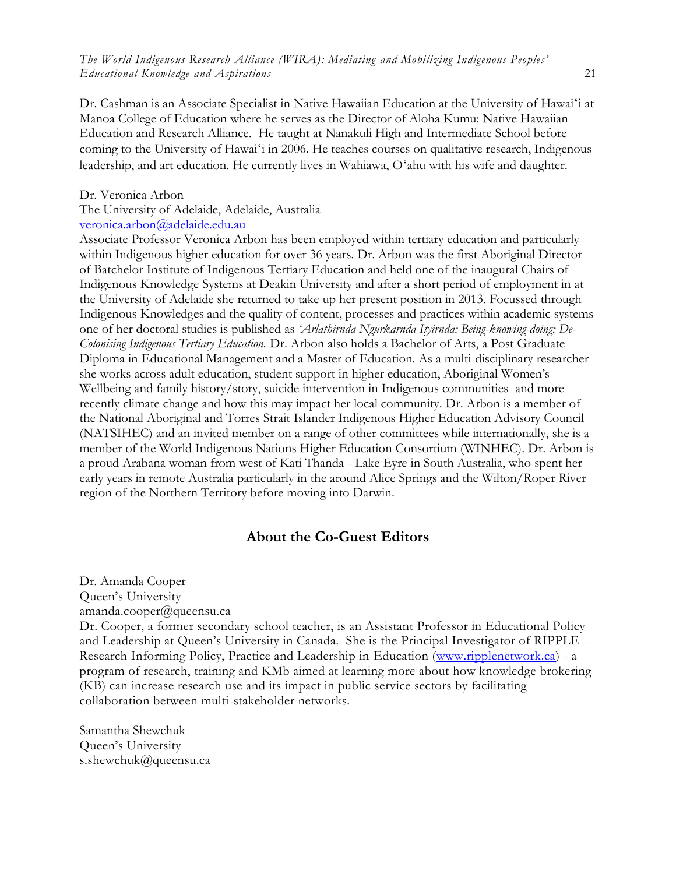Dr. Cashman is an Associate Specialist in Native Hawaiian Education at the University of Hawaiʻi at Manoa College of Education where he serves as the Director of Aloha Kumu: Native Hawaiian Education and Research Alliance. He taught at Nanakuli High and Intermediate School before coming to the University of Hawaiʻi in 2006. He teaches courses on qualitative research, Indigenous leadership, and art education. He currently lives in Wahiawa, Oʻahu with his wife and daughter.

#### Dr. Veronica Arbon

The University of Adelaide, Adelaide, Australia [veronica.arbon@adelaide.edu.au](mailto:veronica.arbon@adelaide.edu.au)

Associate Professor Veronica Arbon has been employed within tertiary education and particularly within Indigenous higher education for over 36 years. Dr. Arbon was the first Aboriginal Director of Batchelor Institute of Indigenous Tertiary Education and held one of the inaugural Chairs of Indigenous Knowledge Systems at Deakin University and after a short period of employment in at the University of Adelaide she returned to take up her present position in 2013. Focussed through Indigenous Knowledges and the quality of content, processes and practices within academic systems one of her doctoral studies is published as *'Arlathirnda Ngurkarnda Ityirnda: Being-knowing-doing: De-Colonising Indigenous Tertiary Education.* Dr. Arbon also holds a Bachelor of Arts, a Post Graduate Diploma in Educational Management and a Master of Education. As a multi-disciplinary researcher she works across adult education, student support in higher education, Aboriginal Women's Wellbeing and family history/story, suicide intervention in Indigenous communities and more recently climate change and how this may impact her local community. Dr. Arbon is a member of the National Aboriginal and Torres Strait Islander Indigenous Higher Education Advisory Council (NATSIHEC) and an invited member on a range of other committees while internationally, she is a member of the World Indigenous Nations Higher Education Consortium (WINHEC). Dr. Arbon is a proud Arabana woman from west of Kati Thanda - Lake Eyre in South Australia, who spent her early years in remote Australia particularly in the around Alice Springs and the Wilton/Roper River region of the Northern Territory before moving into Darwin.

#### **About the Co-Guest Editors**

(KB) can increase research use and its impact in public service sectors by facilitating

Dr. Amanda Cooper Queen's University amanda.cooper@queensu.ca Dr. Cooper, a former secondary school teacher, is an Assistant Professor in Educational Policy and Leadership at Queen's University in Canada. She is the Principal Investigator of RIPPLE - Research Informing Policy, Practice and Leadership in Education [\(www.ripplenetwork.ca\)](file:///C:/Users/Samantha%20Jo/Dropbox/001%20Queen) - a program of research, training and KMb aimed at learning more about how knowledge brokering

collaboration between multi-stakeholder networks.

Samantha Shewchuk Queen's University s.shewchuk@queensu.ca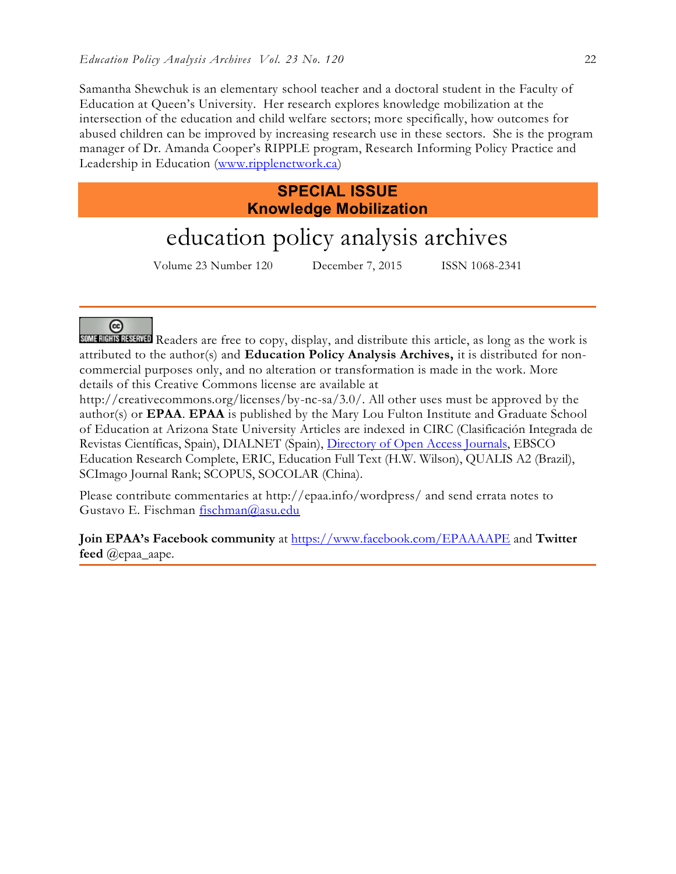Samantha Shewchuk is an elementary school teacher and a doctoral student in the Faculty of Education at Queen's University. Her research explores knowledge mobilization at the intersection of the education and child welfare sectors; more specifically, how outcomes for abused children can be improved by increasing research use in these sectors. She is the program manager of Dr. Amanda Cooper's RIPPLE program, Research Informing Policy Practice and Leadership in Education [\(www.ripplenetwork.ca\)](file:///C:/Users/Samantha%20Jo/Dropbox/001%20Queen)

# **SPECIAL ISSUE Knowledge Mobilization**

# education policy analysis archives

Volume 23 Number 120 December 7, 2015 ISSN 1068-2341

☺

SOME RIGHTS RESERVED Readers are free to copy, display, and distribute this article, as long as the work is attributed to the author(s) and **Education Policy Analysis Archives,** it is distributed for noncommercial purposes only, and no alteration or transformation is made in the work. More details of this Creative Commons license are available at

http://creativecommons.org/licenses/by-nc-sa/3.0/. All other uses must be approved by the author(s) or **EPAA**. **EPAA** is published by the Mary Lou Fulton Institute and Graduate School of Education at Arizona State University Articles are indexed in CIRC (Clasificación Integrada de Revistas Científicas, Spain), DIALNET (Spain), [Directory of Open Access Journals,](http://www.doaj.org/) EBSCO Education Research Complete, ERIC, Education Full Text (H.W. Wilson), QUALIS A2 (Brazil), SCImago Journal Rank; SCOPUS, SOCOLAR (China).

Please contribute commentaries at http://epaa.info/wordpress/ and send errata notes to Gustavo E. Fischman [fischman@asu.edu](mailto:fischman@asu.edu)

**Join EPAA's Facebook community** at<https://www.facebook.com/EPAAAAPE> and **Twitter feed** @epaa\_aape.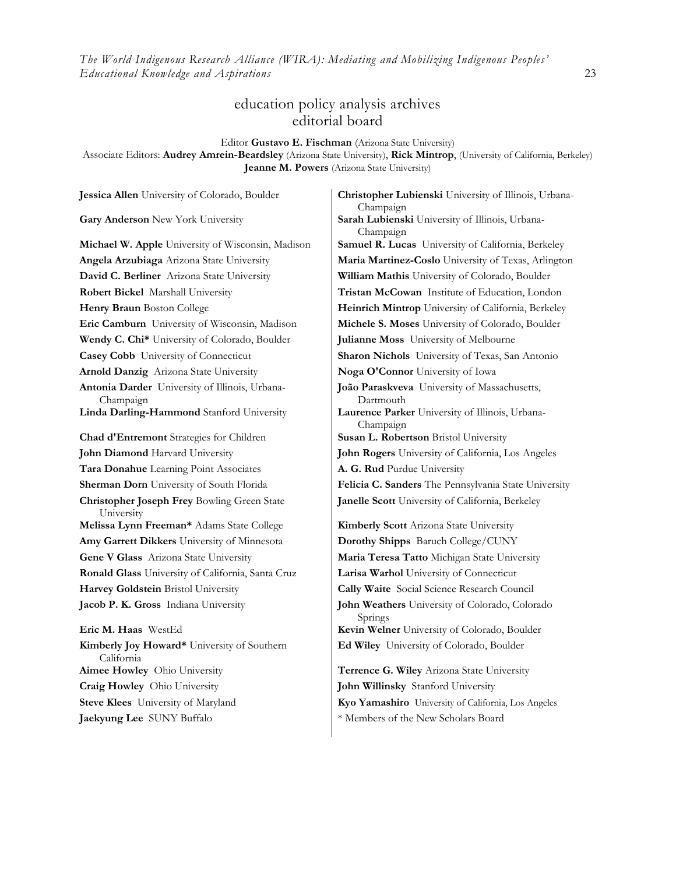## education policy analysis archives editorial board

Editor **Gustavo E. Fischman** (Arizona State University)

Associate Editors: **Audrey Amrein-Beardsley** (Arizona State University), **Rick Mintrop**, (University of California, Berkeley) **Jeanne M. Powers** (Arizona State University)

**David C. Berliner** Arizona State University **William Mathis** University of Colorado, Boulder **Robert Bickel** Marshall University **Tristan McCowan** Institute of Education, London **Eric Camburn** University of Wisconsin, Madison **Michele S. Moses** University of Colorado, Boulder **Wendy C. Chi\*** University of Colorado, Boulder **Julianne Moss** University of Melbourne **Casey Cobb** University of Connecticut **Sharon Nichols** University of Texas, San Antonio **Arnold Danzig** Arizona State University **Noga O'Connor** University of Iowa **Antonia Darder** University of Illinois, Urbana-Champaign **Linda Darling-Hammond** Stanford University **Laurence Parker** University of Illinois, Urbana-**Chad d'Entremont** Strategies for Children **Susan L. Robertson** Bristol University **John Diamond** Harvard University **John Rogers** University of California, Los Angeles **Tara Donahue** Learning Point Associates **A. G. Rud** Purdue University **Christopher Joseph Frey** Bowling Green State University **Melissa Lynn Freeman\*** Adams State College **Kimberly Scott** Arizona State University **Amy Garrett Dikkers** University of Minnesota **Dorothy Shipps** Baruch College/CUNY **Gene V Glass** Arizona State University **Maria Teresa Tatto** Michigan State University **Ronald Glass** University of California, Santa Cruz **Larisa Warhol** University of Connecticut **Harvey Goldstein** Bristol University **Cally Waite** Social Science Research Council **Jacob P. K. Gross** Indiana University **John Weathers** University of Colorado, Colorado **Eric M. Haas** WestEd **Kevin Welner** University of Colorado, Boulder **Kimberly Joy Howard\*** University of Southern California **Aimee Howley** Ohio University **Terrence G. Wiley** Arizona State University **Craig Howley** Ohio University **John Willinsky** Stanford University

**Jessica Allen** University of Colorado, Boulder **Christopher Lubienski** University of Illinois, Urbana-Champaign **Gary Anderson** New York University **Sarah Lubienski** University of Illinois, Urbana-Champaign **Michael W. Apple** University of Wisconsin, Madison **Samuel R. Lucas** University of California, Berkeley **Angela Arzubiaga** Arizona State University **Maria Martinez-Coslo** University of Texas, Arlington **Henry Braun** Boston College **Heinrich Mintrop** University of California, Berkeley **João Paraskveva** University of Massachusetts, Dartmouth Champaign **Sherman Dorn** University of South Florida **Felicia C. Sanders** The Pennsylvania State University **Janelle Scott** University of California, Berkeley

Springs **Ed Wiley** University of Colorado, Boulder

**Steve Klees** University of Maryland **Kyo Yamashiro** University of California, Los Angeles **Jaekyung Lee** SUNY Buffalo \* \* Members of the New Scholars Board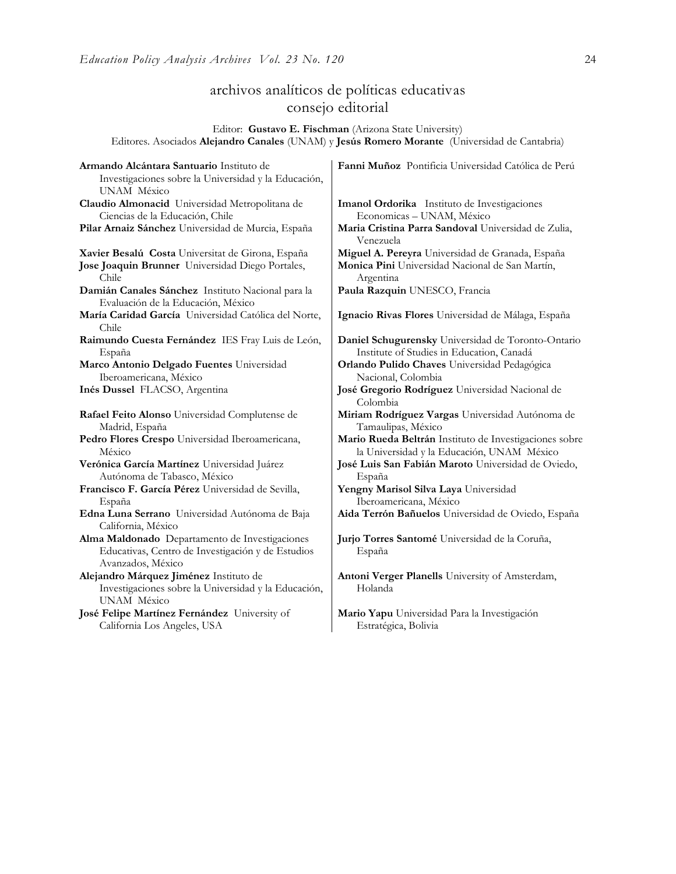# archivos analíticos de políticas educativas consejo editorial

Editor: **Gustavo E. Fischman** (Arizona State University) Editores. Asociados **Alejandro Canales** (UNAM) y **Jesús Romero Morante** (Universidad de Cantabria)

| Armando Alcántara Santuario Instituto de<br>Investigaciones sobre la Universidad y la Educación,<br>UNAM México          | Fanni Muñoz Pontificia Universidad Católica de Perú              |
|--------------------------------------------------------------------------------------------------------------------------|------------------------------------------------------------------|
| Claudio Almonacid Universidad Metropolitana de                                                                           | Imanol Ordorika Instituto de Investigaciones                     |
| Ciencias de la Educación, Chile                                                                                          | Economicas - UNAM, México                                        |
| Pilar Arnaiz Sánchez Universidad de Murcia, España                                                                       | Maria Cristina Parra Sandoval Universidad de Zulia,<br>Venezuela |
| Xavier Besalú Costa Universitat de Girona, España                                                                        | Miguel A. Pereyra Universidad de Granada, España                 |
| Jose Joaquin Brunner Universidad Diego Portales,                                                                         | Monica Pini Universidad Nacional de San Martín,                  |
| Chile                                                                                                                    | Argentina                                                        |
| Damián Canales Sánchez Instituto Nacional para la<br>Evaluación de la Educación, México                                  | Paula Razquin UNESCO, Francia                                    |
| María Caridad García Universidad Católica del Norte,<br>Chile                                                            | Ignacio Rivas Flores Universidad de Málaga, España               |
| Raimundo Cuesta Fernández IES Fray Luis de León,                                                                         | Daniel Schugurensky Universidad de Toronto-Ontario               |
| España                                                                                                                   | Institute of Studies in Education, Canadá                        |
| Marco Antonio Delgado Fuentes Universidad                                                                                | Orlando Pulido Chaves Universidad Pedagógica                     |
| Iberoamericana, México                                                                                                   | Nacional, Colombia                                               |
| Inés Dussel FLACSO, Argentina                                                                                            | José Gregorio Rodríguez Universidad Nacional de<br>Colombia      |
| Rafael Feito Alonso Universidad Complutense de                                                                           | Miriam Rodríguez Vargas Universidad Autónoma de                  |
| Madrid, España                                                                                                           | Tamaulipas, México                                               |
| Pedro Flores Crespo Universidad Iberoamericana,                                                                          | Mario Rueda Beltrán Instituto de Investigaciones sobre           |
| México                                                                                                                   | la Universidad y la Educación, UNAM México                       |
| Verónica García Martínez Universidad Juárez                                                                              | José Luis San Fabián Maroto Universidad de Oviedo,               |
| Autónoma de Tabasco, México                                                                                              | España                                                           |
| Francisco F. García Pérez Universidad de Sevilla,                                                                        | Yengny Marisol Silva Laya Universidad                            |
| España                                                                                                                   | Iberoamericana, México                                           |
| Edna Luna Serrano Universidad Autónoma de Baja<br>California, México                                                     | Aida Terrón Bañuelos Universidad de Oviedo, España               |
| Alma Maldonado Departamento de Investigaciones<br>Educativas, Centro de Investigación y de Estudios<br>Avanzados, México | Jurjo Torres Santomé Universidad de la Coruña,<br>España         |
| Alejandro Márquez Jiménez Instituto de<br>Investigaciones sobre la Universidad y la Educación,<br>UNAM México            | Antoni Verger Planells University of Amsterdam,<br>Holanda       |
| José Felipe Martínez Fernández University of                                                                             | Mario Yapu Universidad Para la Investigación                     |
| California Los Angeles, USA                                                                                              | Estratégica, Bolivia                                             |